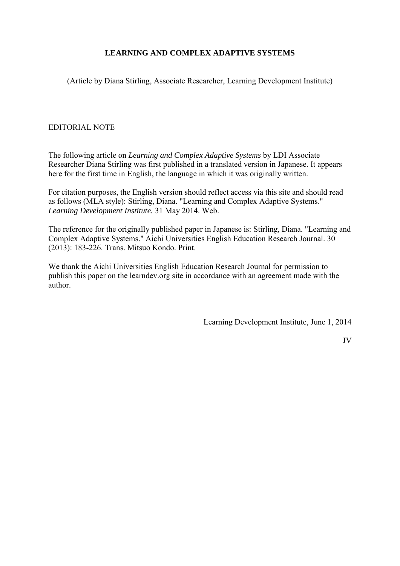# **LEARNING AND COMPLEX ADAPTIVE SYSTEMS**

(Article by Diana Stirling, Associate Researcher, Learning Development Institute)

# EDITORIAL NOTE

The following article on *Learning and Complex Adaptive Systems* by LDI Associate Researcher Diana Stirling was first published in a translated version in Japanese. It appears here for the first time in English, the language in which it was originally written.

For citation purposes, the English version should reflect access via this site and should read as follows (MLA style): Stirling, Diana. "Learning and Complex Adaptive Systems." *Learning Development Institute.* 31 May 2014. Web.

The reference for the originally published paper in Japanese is: Stirling, Diana. "Learning and Complex Adaptive Systems." Aichi Universities English Education Research Journal. 30 (2013): 183-226. Trans. Mitsuo Kondo. Print.

We thank the Aichi Universities English Education Research Journal for permission to publish this paper on the learndev.org site in accordance with an agreement made with the author.

Learning Development Institute, June 1, 2014

JV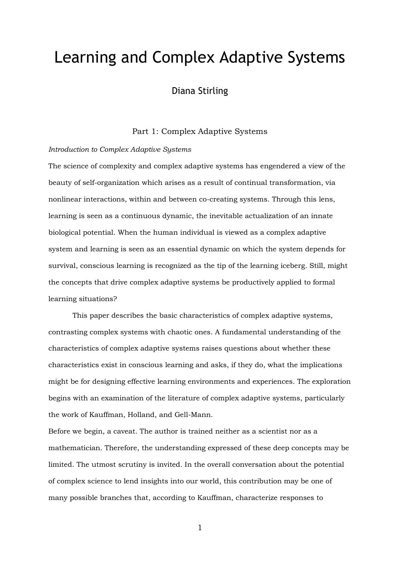# Learning and Complex Adaptive Systems

# Diana Stirling

## Part 1: Complex Adaptive Systems

#### *Introduction to Complex Adaptive Systems*

The science of complexity and complex adaptive systems has engendered a view of the beauty of self-organization which arises as a result of continual transformation, via nonlinear interactions, within and between co-creating systems. Through this lens, learning is seen as a continuous dynamic, the inevitable actualization of an innate biological potential. When the human individual is viewed as a complex adaptive system and learning is seen as an essential dynamic on which the system depends for survival, conscious learning is recognized as the tip of the learning iceberg. Still, might the concepts that drive complex adaptive systems be productively applied to formal learning situations?

This paper describes the basic characteristics of complex adaptive systems, contrasting complex systems with chaotic ones. A fundamental understanding of the characteristics of complex adaptive systems raises questions about whether these characteristics exist in conscious learning and asks, if they do, what the implications might be for designing effective learning environments and experiences. The exploration begins with an examination of the literature of complex adaptive systems, particularly the work of Kauffman, Holland, and Gell-Mann.

Before we begin, a caveat. The author is trained neither as a scientist nor as a mathematician. Therefore, the understanding expressed of these deep concepts may be limited. The utmost scrutiny is invited. In the overall conversation about the potential of complex science to lend insights into our world, this contribution may be one of many possible branches that, according to Kauffman, characterize responses to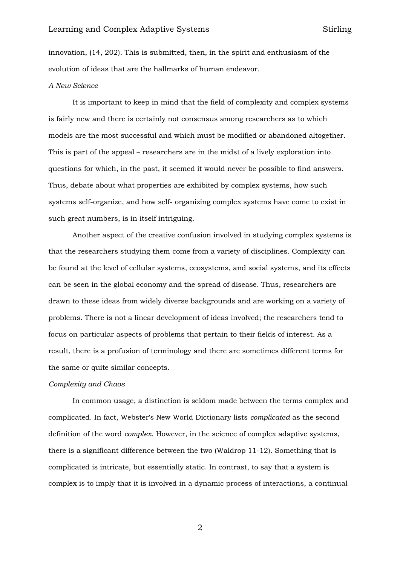innovation, (14, 202). This is submitted, then, in the spirit and enthusiasm of the evolution of ideas that are the hallmarks of human endeavor.

## *A New Science*

It is important to keep in mind that the field of complexity and complex systems is fairly new and there is certainly not consensus among researchers as to which models are the most successful and which must be modified or abandoned altogether. This is part of the appeal – researchers are in the midst of a lively exploration into questions for which, in the past, it seemed it would never be possible to find answers. Thus, debate about what properties are exhibited by complex systems, how such systems self-organize, and how self- organizing complex systems have come to exist in such great numbers, is in itself intriguing.

Another aspect of the creative confusion involved in studying complex systems is that the researchers studying them come from a variety of disciplines. Complexity can be found at the level of cellular systems, ecosystems, and social systems, and its effects can be seen in the global economy and the spread of disease. Thus, researchers are drawn to these ideas from widely diverse backgrounds and are working on a variety of problems. There is not a linear development of ideas involved; the researchers tend to focus on particular aspects of problems that pertain to their fields of interest. As a result, there is a profusion of terminology and there are sometimes different terms for the same or quite similar concepts.

#### *Complexity and Chaos*

In common usage, a distinction is seldom made between the terms complex and complicated. In fact, Webster's New World Dictionary lists *complicated* as the second definition of the word *complex*. However, in the science of complex adaptive systems, there is a significant difference between the two (Waldrop 11-12). Something that is complicated is intricate, but essentially static. In contrast, to say that a system is complex is to imply that it is involved in a dynamic process of interactions, a continual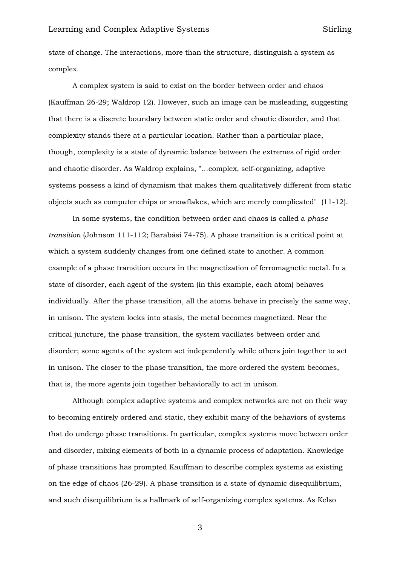state of change. The interactions, more than the structure, distinguish a system as complex.

A complex system is said to exist on the border between order and chaos (Kauffman 26-29; Waldrop 12). However, such an image can be misleading, suggesting that there is a discrete boundary between static order and chaotic disorder, and that complexity stands there at a particular location. Rather than a particular place, though, complexity is a state of dynamic balance between the extremes of rigid order and chaotic disorder. As Waldrop explains, "…complex, self-organizing, adaptive systems possess a kind of dynamism that makes them qualitatively different from static objects such as computer chips or snowflakes, which are merely complicated" (11-12).

In some systems, the condition between order and chaos is called a *phase transition* (Johnson 111-112; Barabási 74-75). A phase transition is a critical point at which a system suddenly changes from one defined state to another. A common example of a phase transition occurs in the magnetization of ferromagnetic metal. In a state of disorder, each agent of the system (in this example, each atom) behaves individually. After the phase transition, all the atoms behave in precisely the same way, in unison. The system locks into stasis, the metal becomes magnetized. Near the critical juncture, the phase transition, the system vacillates between order and disorder; some agents of the system act independently while others join together to act in unison. The closer to the phase transition, the more ordered the system becomes, that is, the more agents join together behaviorally to act in unison.

Although complex adaptive systems and complex networks are not on their way to becoming entirely ordered and static, they exhibit many of the behaviors of systems that do undergo phase transitions. In particular, complex systems move between order and disorder, mixing elements of both in a dynamic process of adaptation. Knowledge of phase transitions has prompted Kauffman to describe complex systems as existing on the edge of chaos (26-29). A phase transition is a state of dynamic disequilibrium, and such disequilibrium is a hallmark of self-organizing complex systems. As Kelso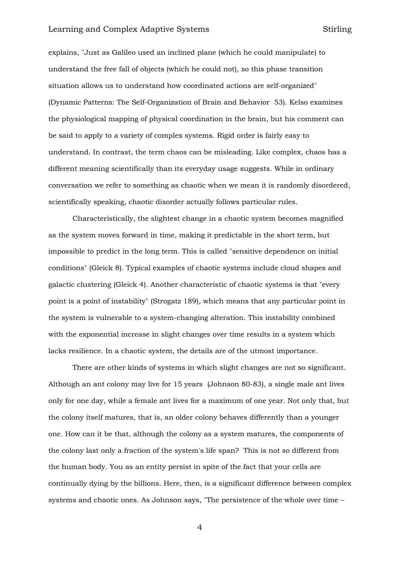explains, "Just as Galileo used an inclined plane (which he could manipulate) to understand the free fall of objects (which he could not), so this phase transition situation allows us to understand how coordinated actions are self-organized" (Dynamic Patterns: The Self-Organization of Brain and Behavior 53). Kelso examines the physiological mapping of physical coordination in the brain, but his comment can be said to apply to a variety of complex systems. Rigid order is fairly easy to understand. In contrast, the term chaos can be misleading. Like complex, chaos has a different meaning scientifically than its everyday usage suggests. While in ordinary conversation we refer to something as chaotic when we mean it is randomly disordered, scientifically speaking, chaotic disorder actually follows particular rules.

Characteristically, the slightest change in a chaotic system becomes magnified as the system moves forward in time, making it predictable in the short term, but impossible to predict in the long term. This is called "sensitive dependence on initial conditions" (Gleick 8). Typical examples of chaotic systems include cloud shapes and galactic clustering (Gleick 4). Another characteristic of chaotic systems is that "every point is a point of instability" (Strogatz 189), which means that any particular point in the system is vulnerable to a system-changing alteration. This instability combined with the exponential increase in slight changes over time results in a system which lacks resilience. In a chaotic system, the details are of the utmost importance.

There are other kinds of systems in which slight changes are not so significant. Although an ant colony may live for 15 years (Johnson 80-83), a single male ant lives only for one day, while a female ant lives for a maximum of one year. Not only that, but the colony itself matures, that is, an older colony behaves differently than a younger one. How can it be that, although the colony as a system matures, the components of the colony last only a fraction of the system's life span? This is not so different from the human body. You as an entity persist in spite of the fact that your cells are continually dying by the billions. Here, then, is a significant difference between complex systems and chaotic ones. As Johnson says, "The persistence of the whole over time –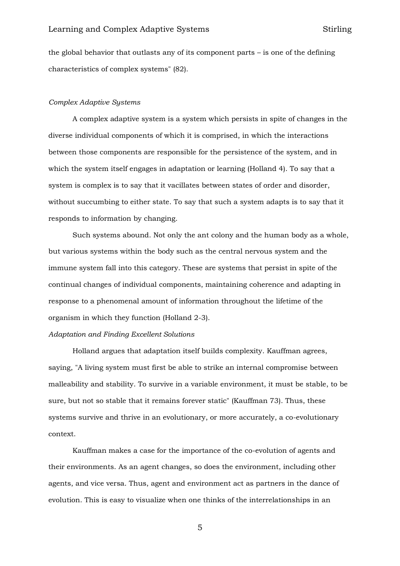the global behavior that outlasts any of its component parts – is one of the defining characteristics of complex systems" (82).

#### *Complex Adaptive Systems*

A complex adaptive system is a system which persists in spite of changes in the diverse individual components of which it is comprised, in which the interactions between those components are responsible for the persistence of the system, and in which the system itself engages in adaptation or learning (Holland 4). To say that a system is complex is to say that it vacillates between states of order and disorder, without succumbing to either state. To say that such a system adapts is to say that it responds to information by changing.

Such systems abound. Not only the ant colony and the human body as a whole, but various systems within the body such as the central nervous system and the immune system fall into this category. These are systems that persist in spite of the continual changes of individual components, maintaining coherence and adapting in response to a phenomenal amount of information throughout the lifetime of the organism in which they function (Holland 2-3).

## *Adaptation and Finding Excellent Solutions*

Holland argues that adaptation itself builds complexity. Kauffman agrees, saying, "A living system must first be able to strike an internal compromise between malleability and stability. To survive in a variable environment, it must be stable, to be sure, but not so stable that it remains forever static" (Kauffman 73). Thus, these systems survive and thrive in an evolutionary, or more accurately, a co-evolutionary context.

Kauffman makes a case for the importance of the co-evolution of agents and their environments. As an agent changes, so does the environment, including other agents, and vice versa. Thus, agent and environment act as partners in the dance of evolution. This is easy to visualize when one thinks of the interrelationships in an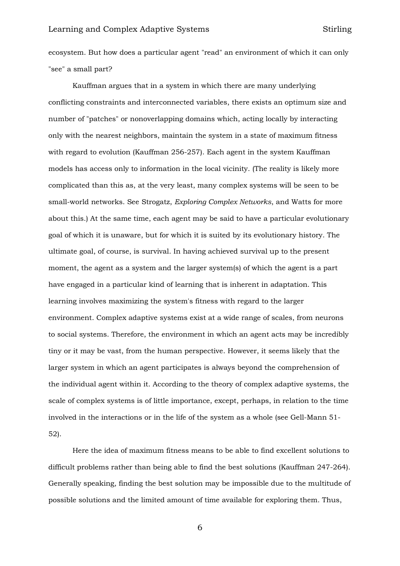ecosystem. But how does a particular agent "read" an environment of which it can only "see" a small part?

Kauffman argues that in a system in which there are many underlying conflicting constraints and interconnected variables, there exists an optimum size and number of "patches" or nonoverlapping domains which, acting locally by interacting only with the nearest neighbors, maintain the system in a state of maximum fitness with regard to evolution (Kauffman 256-257). Each agent in the system Kauffman models has access only to information in the local vicinity. (The reality is likely more complicated than this as, at the very least, many complex systems will be seen to be small-world networks. See Strogatz, *Exploring Complex Networks*, and Watts for more about this.) At the same time, each agent may be said to have a particular evolutionary goal of which it is unaware, but for which it is suited by its evolutionary history. The ultimate goal, of course, is survival. In having achieved survival up to the present moment, the agent as a system and the larger system(s) of which the agent is a part have engaged in a particular kind of learning that is inherent in adaptation. This learning involves maximizing the system's fitness with regard to the larger environment. Complex adaptive systems exist at a wide range of scales, from neurons to social systems. Therefore, the environment in which an agent acts may be incredibly tiny or it may be vast, from the human perspective. However, it seems likely that the larger system in which an agent participates is always beyond the comprehension of the individual agent within it. According to the theory of complex adaptive systems, the scale of complex systems is of little importance, except, perhaps, in relation to the time involved in the interactions or in the life of the system as a whole (see Gell-Mann 51- 52).

Here the idea of maximum fitness means to be able to find excellent solutions to difficult problems rather than being able to find the best solutions (Kauffman 247-264). Generally speaking, finding the best solution may be impossible due to the multitude of possible solutions and the limited amount of time available for exploring them. Thus,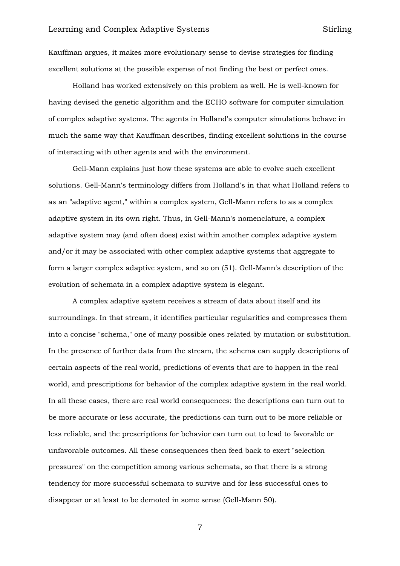Kauffman argues, it makes more evolutionary sense to devise strategies for finding excellent solutions at the possible expense of not finding the best or perfect ones.

Holland has worked extensively on this problem as well. He is well-known for having devised the genetic algorithm and the ECHO software for computer simulation of complex adaptive systems. The agents in Holland's computer simulations behave in much the same way that Kauffman describes, finding excellent solutions in the course of interacting with other agents and with the environment.

Gell-Mann explains just how these systems are able to evolve such excellent solutions. Gell-Mann's terminology differs from Holland's in that what Holland refers to as an "adaptive agent," within a complex system, Gell-Mann refers to as a complex adaptive system in its own right. Thus, in Gell-Mann's nomenclature, a complex adaptive system may (and often does) exist within another complex adaptive system and/or it may be associated with other complex adaptive systems that aggregate to form a larger complex adaptive system, and so on (51). Gell-Mann's description of the evolution of schemata in a complex adaptive system is elegant.

A complex adaptive system receives a stream of data about itself and its surroundings. In that stream, it identifies particular regularities and compresses them into a concise "schema," one of many possible ones related by mutation or substitution. In the presence of further data from the stream, the schema can supply descriptions of certain aspects of the real world, predictions of events that are to happen in the real world, and prescriptions for behavior of the complex adaptive system in the real world. In all these cases, there are real world consequences: the descriptions can turn out to be more accurate or less accurate, the predictions can turn out to be more reliable or less reliable, and the prescriptions for behavior can turn out to lead to favorable or unfavorable outcomes. All these consequences then feed back to exert "selection pressures" on the competition among various schemata, so that there is a strong tendency for more successful schemata to survive and for less successful ones to disappear or at least to be demoted in some sense (Gell-Mann 50).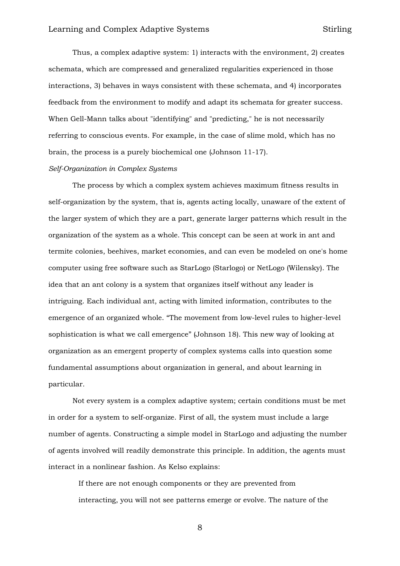Thus, a complex adaptive system: 1) interacts with the environment, 2) creates schemata, which are compressed and generalized regularities experienced in those interactions, 3) behaves in ways consistent with these schemata, and 4) incorporates feedback from the environment to modify and adapt its schemata for greater success. When Gell-Mann talks about "identifying" and "predicting," he is not necessarily referring to conscious events. For example, in the case of slime mold, which has no brain, the process is a purely biochemical one (Johnson 11-17).

#### *Self-Organization in Complex Systems*

The process by which a complex system achieves maximum fitness results in self-organization by the system, that is, agents acting locally, unaware of the extent of the larger system of which they are a part, generate larger patterns which result in the organization of the system as a whole. This concept can be seen at work in ant and termite colonies, beehives, market economies, and can even be modeled on one's home computer using free software such as StarLogo (Starlogo) or NetLogo (Wilensky). The idea that an ant colony is a system that organizes itself without any leader is intriguing. Each individual ant, acting with limited information, contributes to the emergence of an organized whole. "The movement from low-level rules to higher-level sophistication is what we call emergence" (Johnson 18). This new way of looking at organization as an emergent property of complex systems calls into question some fundamental assumptions about organization in general, and about learning in particular.

Not every system is a complex adaptive system; certain conditions must be met in order for a system to self-organize. First of all, the system must include a large number of agents. Constructing a simple model in StarLogo and adjusting the number of agents involved will readily demonstrate this principle. In addition, the agents must interact in a nonlinear fashion. As Kelso explains:

If there are not enough components or they are prevented from interacting, you will not see patterns emerge or evolve. The nature of the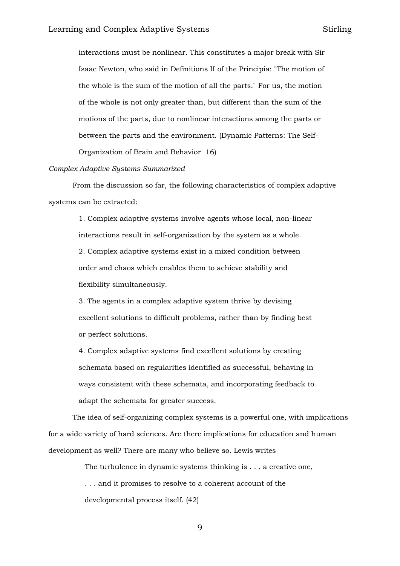interactions must be nonlinear. This constitutes a major break with Sir Isaac Newton, who said in Definitions II of the Principia: "The motion of the whole is the sum of the motion of all the parts." For us, the motion of the whole is not only greater than, but different than the sum of the motions of the parts, due to nonlinear interactions among the parts or between the parts and the environment. (Dynamic Patterns: The Self-

Organization of Brain and Behavior 16)

## *Complex Adaptive Systems Summarized*

From the discussion so far, the following characteristics of complex adaptive systems can be extracted:

> 1. Complex adaptive systems involve agents whose local, non-linear interactions result in self-organization by the system as a whole. 2. Complex adaptive systems exist in a mixed condition between order and chaos which enables them to achieve stability and flexibility simultaneously.

> 3. The agents in a complex adaptive system thrive by devising excellent solutions to difficult problems, rather than by finding best or perfect solutions.

4. Complex adaptive systems find excellent solutions by creating schemata based on regularities identified as successful, behaving in ways consistent with these schemata, and incorporating feedback to adapt the schemata for greater success.

The idea of self-organizing complex systems is a powerful one, with implications for a wide variety of hard sciences. Are there implications for education and human development as well? There are many who believe so. Lewis writes

> The turbulence in dynamic systems thinking is . . . a creative one, . . . and it promises to resolve to a coherent account of the developmental process itself. (42)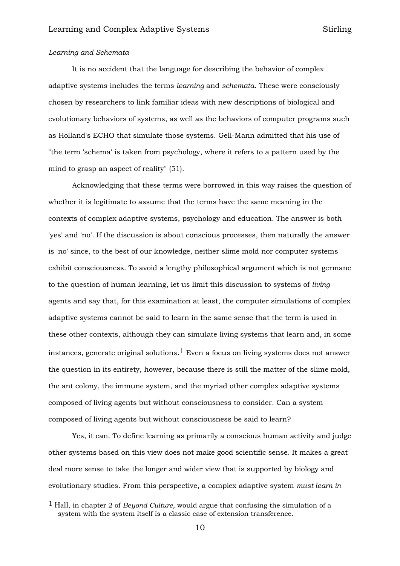## *Learning and Schemata*

-

It is no accident that the language for describing the behavior of complex adaptive systems includes the terms *learning* and *schemata*. These were consciously chosen by researchers to link familiar ideas with new descriptions of biological and evolutionary behaviors of systems, as well as the behaviors of computer programs such as Holland's ECHO that simulate those systems. Gell-Mann admitted that his use of "the term 'schema' is taken from psychology, where it refers to a pattern used by the mind to grasp an aspect of reality" (51).

Acknowledging that these terms were borrowed in this way raises the question of whether it is legitimate to assume that the terms have the same meaning in the contexts of complex adaptive systems, psychology and education. The answer is both 'yes' and 'no'. If the discussion is about conscious processes, then naturally the answer is 'no' since, to the best of our knowledge, neither slime mold nor computer systems exhibit consciousness. To avoid a lengthy philosophical argument which is not germane to the question of human learning, let us limit this discussion to systems of *living* agents and say that, for this examination at least, the computer simulations of complex adaptive systems cannot be said to learn in the same sense that the term is used in these other contexts, although they can simulate living systems that learn and, in some instances, generate original solutions.<sup>1</sup> Even a focus on living systems does not answer the question in its entirety, however, because there is still the matter of the slime mold, the ant colony, the immune system, and the myriad other complex adaptive systems composed of living agents but without consciousness to consider. Can a system composed of living agents but without consciousness be said to learn?

Yes, it can. To define learning as primarily a conscious human activity and judge other systems based on this view does not make good scientific sense. It makes a great deal more sense to take the longer and wider view that is supported by biology and evolutionary studies. From this perspective, a complex adaptive system *must learn in* 

<sup>1</sup> Hall, in chapter 2 of *Beyond Culture*, would argue that confusing the simulation of a system with the system itself is a classic case of extension transference.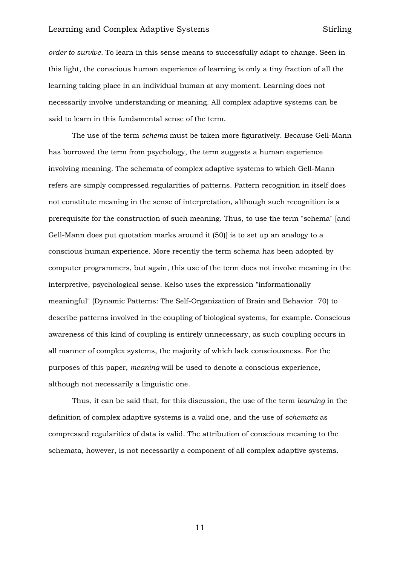*order to survive.* To learn in this sense means to successfully adapt to change. Seen in this light, the conscious human experience of learning is only a tiny fraction of all the learning taking place in an individual human at any moment. Learning does not necessarily involve understanding or meaning. All complex adaptive systems can be said to learn in this fundamental sense of the term.

The use of the term *schema* must be taken more figuratively. Because Gell-Mann has borrowed the term from psychology, the term suggests a human experience involving meaning. The schemata of complex adaptive systems to which Gell-Mann refers are simply compressed regularities of patterns. Pattern recognition in itself does not constitute meaning in the sense of interpretation, although such recognition is a prerequisite for the construction of such meaning. Thus, to use the term "schema" [and Gell-Mann does put quotation marks around it (50)] is to set up an analogy to a conscious human experience. More recently the term schema has been adopted by computer programmers, but again, this use of the term does not involve meaning in the interpretive, psychological sense. Kelso uses the expression "informationally meaningful" (Dynamic Patterns: The Self-Organization of Brain and Behavior 70) to describe patterns involved in the coupling of biological systems, for example. Conscious awareness of this kind of coupling is entirely unnecessary, as such coupling occurs in all manner of complex systems, the majority of which lack consciousness. For the purposes of this paper, *meaning* will be used to denote a conscious experience, although not necessarily a linguistic one.

Thus, it can be said that, for this discussion, the use of the term *learning* in the definition of complex adaptive systems is a valid one, and the use of *schemata* as compressed regularities of data is valid. The attribution of conscious meaning to the schemata, however, is not necessarily a component of all complex adaptive systems.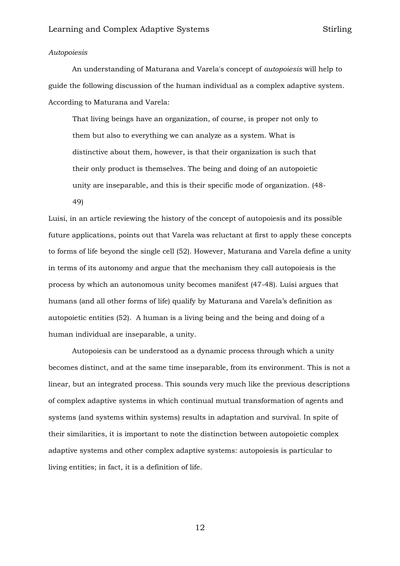## *Autopoiesis*

An understanding of Maturana and Varela's concept of *autopoiesis* will help to guide the following discussion of the human individual as a complex adaptive system. According to Maturana and Varela:

That living beings have an organization, of course, is proper not only to them but also to everything we can analyze as a system. What is distinctive about them, however, is that their organization is such that their only product is themselves. The being and doing of an autopoietic unity are inseparable, and this is their specific mode of organization. (48- 49)

Luisi, in an article reviewing the history of the concept of autopoiesis and its possible future applications, points out that Varela was reluctant at first to apply these concepts to forms of life beyond the single cell (52). However, Maturana and Varela define a unity in terms of its autonomy and argue that the mechanism they call autopoiesis is the process by which an autonomous unity becomes manifest (47-48). Luisi argues that humans (and all other forms of life) qualify by Maturana and Varela's definition as autopoietic entities (52). A human is a living being and the being and doing of a human individual are inseparable, a unity.

Autopoiesis can be understood as a dynamic process through which a unity becomes distinct, and at the same time inseparable, from its environment. This is not a linear, but an integrated process. This sounds very much like the previous descriptions of complex adaptive systems in which continual mutual transformation of agents and systems (and systems within systems) results in adaptation and survival. In spite of their similarities, it is important to note the distinction between autopoietic complex adaptive systems and other complex adaptive systems: autopoiesis is particular to living entities; in fact, it is a definition of life.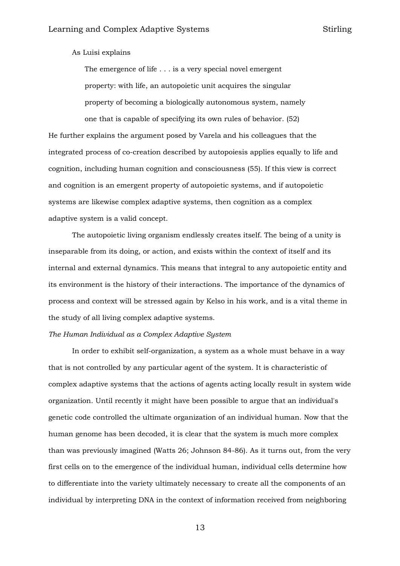As Luisi explains

The emergence of life . . . is a very special novel emergent property: with life, an autopoietic unit acquires the singular property of becoming a biologically autonomous system, namely one that is capable of specifying its own rules of behavior. (52)

He further explains the argument posed by Varela and his colleagues that the integrated process of co-creation described by autopoiesis applies equally to life and cognition, including human cognition and consciousness (55). If this view is correct and cognition is an emergent property of autopoietic systems, and if autopoietic systems are likewise complex adaptive systems, then cognition as a complex adaptive system is a valid concept.

The autopoietic living organism endlessly creates itself. The being of a unity is inseparable from its doing, or action, and exists within the context of itself and its internal and external dynamics. This means that integral to any autopoietic entity and its environment is the history of their interactions. The importance of the dynamics of process and context will be stressed again by Kelso in his work, and is a vital theme in the study of all living complex adaptive systems.

## *The Human Individual as a Complex Adaptive System*

In order to exhibit self-organization, a system as a whole must behave in a way that is not controlled by any particular agent of the system. It is characteristic of complex adaptive systems that the actions of agents acting locally result in system wide organization. Until recently it might have been possible to argue that an individual's genetic code controlled the ultimate organization of an individual human. Now that the human genome has been decoded, it is clear that the system is much more complex than was previously imagined (Watts 26; Johnson 84-86). As it turns out, from the very first cells on to the emergence of the individual human, individual cells determine how to differentiate into the variety ultimately necessary to create all the components of an individual by interpreting DNA in the context of information received from neighboring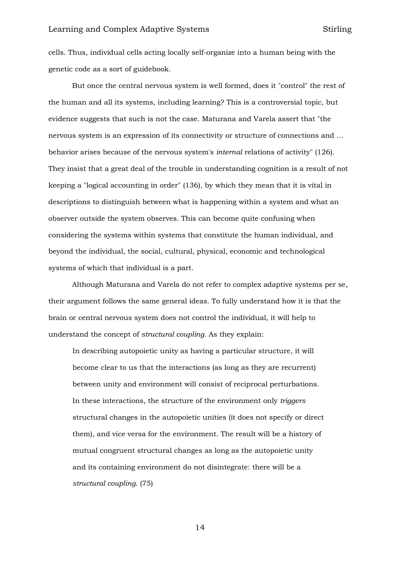cells. Thus, individual cells acting locally self-organize into a human being with the genetic code as a sort of guidebook.

But once the central nervous system is well formed, does it "control" the rest of the human and all its systems, including learning? This is a controversial topic, but evidence suggests that such is not the case. Maturana and Varela assert that "the nervous system is an expression of its connectivity or structure of connections and … behavior arises because of the nervous system's *internal* relations of activity" (126). They insist that a great deal of the trouble in understanding cognition is a result of not keeping a "logical accounting in order" (136), by which they mean that it is vital in descriptions to distinguish between what is happening within a system and what an observer outside the system observes. This can become quite confusing when considering the systems within systems that constitute the human individual, and beyond the individual, the social, cultural, physical, economic and technological systems of which that individual is a part.

Although Maturana and Varela do not refer to complex adaptive systems per se, their argument follows the same general ideas. To fully understand how it is that the brain or central nervous system does not control the individual, it will help to understand the concept of *structural coupling*. As they explain:

In describing autopoietic unity as having a particular structure, it will become clear to us that the interactions (as long as they are recurrent) between unity and environment will consist of reciprocal perturbations. In these interactions, the structure of the environment only *triggers* structural changes in the autopoietic unities (it does not specify or direct them), and vice versa for the environment. The result will be a history of mutual congruent structural changes as long as the autopoietic unity and its containing environment do not disintegrate: there will be a *structural coupling*. (75)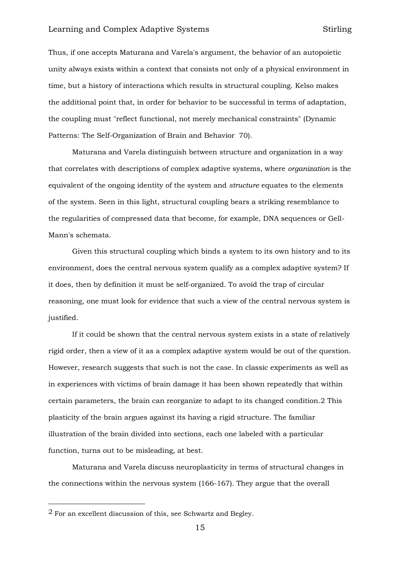Thus, if one accepts Maturana and Varela's argument, the behavior of an autopoietic unity always exists within a context that consists not only of a physical environment in time, but a history of interactions which results in structural coupling. Kelso makes the additional point that, in order for behavior to be successful in terms of adaptation, the coupling must "reflect functional, not merely mechanical constraints" (Dynamic Patterns: The Self-Organization of Brain and Behavior 70).

Maturana and Varela distinguish between structure and organization in a way that correlates with descriptions of complex adaptive systems, where *organization* is the equivalent of the ongoing identity of the system and *structure* equates to the elements of the system. Seen in this light, structural coupling bears a striking resemblance to the regularities of compressed data that become, for example, DNA sequences or Gell-Mann's schemata.

Given this structural coupling which binds a system to its own history and to its environment, does the central nervous system qualify as a complex adaptive system? If it does, then by definition it must be self-organized. To avoid the trap of circular reasoning, one must look for evidence that such a view of the central nervous system is justified.

If it could be shown that the central nervous system exists in a state of relatively rigid order, then a view of it as a complex adaptive system would be out of the question. However, research suggests that such is not the case. In classic experiments as well as in experiences with victims of brain damage it has been shown repeatedly that within certain parameters, the brain can reorganize to adapt to its changed condition.2 This plasticity of the brain argues against its having a rigid structure. The familiar illustration of the brain divided into sections, each one labeled with a particular function, turns out to be misleading, at best.

Maturana and Varela discuss neuroplasticity in terms of structural changes in the connections within the nervous system (166-167). They argue that the overall

-

<sup>2</sup> For an excellent discussion of this, see Schwartz and Begley.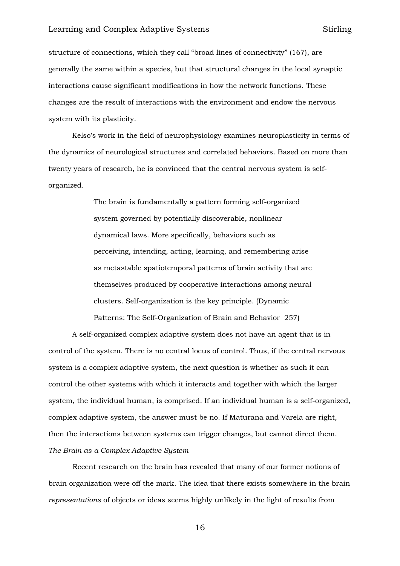structure of connections, which they call "broad lines of connectivity" (167), are generally the same within a species, but that structural changes in the local synaptic interactions cause significant modifications in how the network functions. These changes are the result of interactions with the environment and endow the nervous system with its plasticity.

Kelso's work in the field of neurophysiology examines neuroplasticity in terms of the dynamics of neurological structures and correlated behaviors. Based on more than twenty years of research, he is convinced that the central nervous system is selforganized.

> The brain is fundamentally a pattern forming self-organized system governed by potentially discoverable, nonlinear dynamical laws. More specifically, behaviors such as perceiving, intending, acting, learning, and remembering arise as metastable spatiotemporal patterns of brain activity that are themselves produced by cooperative interactions among neural clusters. Self-organization is the key principle. (Dynamic Patterns: The Self-Organization of Brain and Behavior 257)

A self-organized complex adaptive system does not have an agent that is in control of the system. There is no central locus of control. Thus, if the central nervous system is a complex adaptive system, the next question is whether as such it can control the other systems with which it interacts and together with which the larger system, the individual human, is comprised. If an individual human is a self-organized, complex adaptive system, the answer must be no. If Maturana and Varela are right, then the interactions between systems can trigger changes, but cannot direct them. *The Brain as a Complex Adaptive System*

Recent research on the brain has revealed that many of our former notions of brain organization were off the mark. The idea that there exists somewhere in the brain *representations* of objects or ideas seems highly unlikely in the light of results from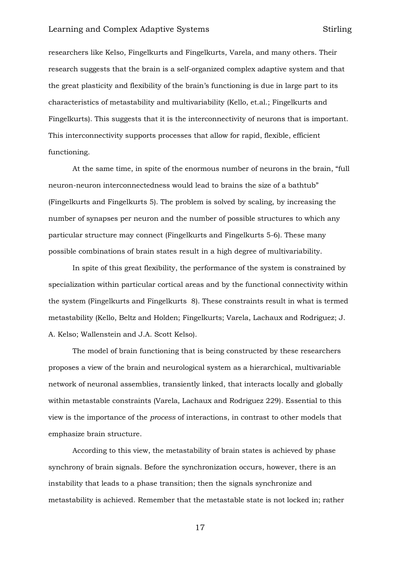researchers like Kelso, Fingelkurts and Fingelkurts, Varela, and many others. Their research suggests that the brain is a self-organized complex adaptive system and that the great plasticity and flexibility of the brain's functioning is due in large part to its characteristics of metastability and multivariability (Kello, et.al.; Fingelkurts and Fingelkurts). This suggests that it is the interconnectivity of neurons that is important. This interconnectivity supports processes that allow for rapid, flexible, efficient functioning.

At the same time, in spite of the enormous number of neurons in the brain, "full neuron-neuron interconnectedness would lead to brains the size of a bathtub" (Fingelkurts and Fingelkurts 5). The problem is solved by scaling, by increasing the number of synapses per neuron and the number of possible structures to which any particular structure may connect (Fingelkurts and Fingelkurts 5-6). These many possible combinations of brain states result in a high degree of multivariability.

In spite of this great flexibility, the performance of the system is constrained by specialization within particular cortical areas and by the functional connectivity within the system (Fingelkurts and Fingelkurts 8). These constraints result in what is termed metastability (Kello, Beltz and Holden; Fingelkurts; Varela, Lachaux and Rodriguez; J. A. Kelso; Wallenstein and J.A. Scott Kelso).

The model of brain functioning that is being constructed by these researchers proposes a view of the brain and neurological system as a hierarchical, multivariable network of neuronal assemblies, transiently linked, that interacts locally and globally within metastable constraints (Varela, Lachaux and Rodriguez 229). Essential to this view is the importance of the *process* of interactions, in contrast to other models that emphasize brain structure.

According to this view, the metastability of brain states is achieved by phase synchrony of brain signals. Before the synchronization occurs, however, there is an instability that leads to a phase transition; then the signals synchronize and metastability is achieved. Remember that the metastable state is not locked in; rather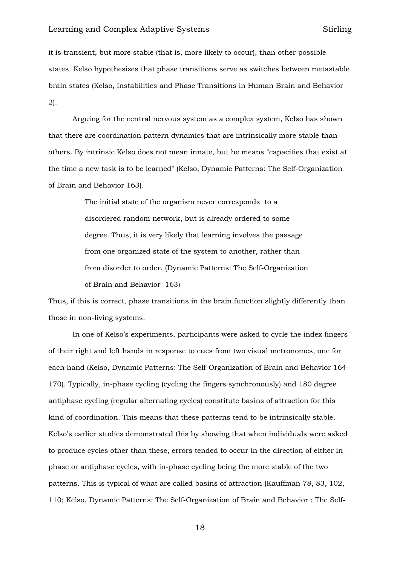it is transient, but more stable (that is, more likely to occur), than other possible states. Kelso hypothesizes that phase transitions serve as switches between metastable brain states (Kelso, Instabilities and Phase Transitions in Human Brain and Behavior 2).

Arguing for the central nervous system as a complex system, Kelso has shown that there are coordination pattern dynamics that are intrinsically more stable than others. By intrinsic Kelso does not mean innate, but he means "capacities that exist at the time a new task is to be learned" (Kelso, Dynamic Patterns: The Self-Organization of Brain and Behavior 163).

> The initial state of the organism never corresponds to a disordered random network, but is already ordered to some degree. Thus, it is very likely that learning involves the passage from one organized state of the system to another, rather than from disorder to order. (Dynamic Patterns: The Self-Organization of Brain and Behavior 163)

Thus, if this is correct, phase transitions in the brain function slightly differently than those in non-living systems.

In one of Kelso's experiments, participants were asked to cycle the index fingers of their right and left hands in response to cues from two visual metronomes, one for each hand (Kelso, Dynamic Patterns: The Self-Organization of Brain and Behavior 164- 170). Typically, in-phase cycling (cycling the fingers synchronously) and 180 degree antiphase cycling (regular alternating cycles) constitute basins of attraction for this kind of coordination. This means that these patterns tend to be intrinsically stable. Kelso's earlier studies demonstrated this by showing that when individuals were asked to produce cycles other than these, errors tended to occur in the direction of either inphase or antiphase cycles, with in-phase cycling being the more stable of the two patterns. This is typical of what are called basins of attraction (Kauffman 78, 83, 102, 110; Kelso, Dynamic Patterns: The Self-Organization of Brain and Behavior : The Self-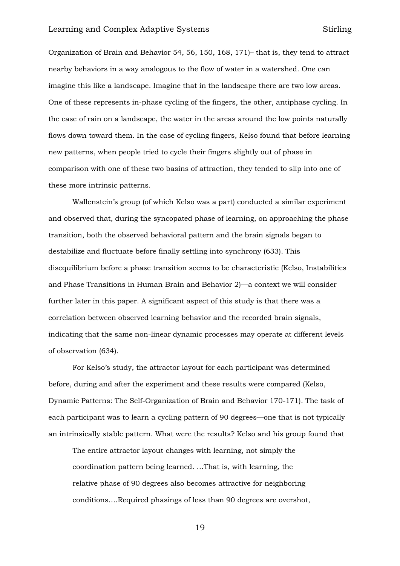Organization of Brain and Behavior 54, 56, 150, 168, 171)– that is, they tend to attract nearby behaviors in a way analogous to the flow of water in a watershed. One can imagine this like a landscape. Imagine that in the landscape there are two low areas. One of these represents in-phase cycling of the fingers, the other, antiphase cycling. In the case of rain on a landscape, the water in the areas around the low points naturally flows down toward them. In the case of cycling fingers, Kelso found that before learning new patterns, when people tried to cycle their fingers slightly out of phase in comparison with one of these two basins of attraction, they tended to slip into one of these more intrinsic patterns.

Wallenstein's group (of which Kelso was a part) conducted a similar experiment and observed that, during the syncopated phase of learning, on approaching the phase transition, both the observed behavioral pattern and the brain signals began to destabilize and fluctuate before finally settling into synchrony (633). This disequilibrium before a phase transition seems to be characteristic (Kelso, Instabilities and Phase Transitions in Human Brain and Behavior 2)—a context we will consider further later in this paper. A significant aspect of this study is that there was a correlation between observed learning behavior and the recorded brain signals, indicating that the same non-linear dynamic processes may operate at different levels of observation (634).

For Kelso's study, the attractor layout for each participant was determined before, during and after the experiment and these results were compared (Kelso, Dynamic Patterns: The Self-Organization of Brain and Behavior 170-171). The task of each participant was to learn a cycling pattern of 90 degrees—one that is not typically an intrinsically stable pattern. What were the results? Kelso and his group found that

The entire attractor layout changes with learning, not simply the coordination pattern being learned. …That is, with learning, the relative phase of 90 degrees also becomes attractive for neighboring conditions….Required phasings of less than 90 degrees are overshot,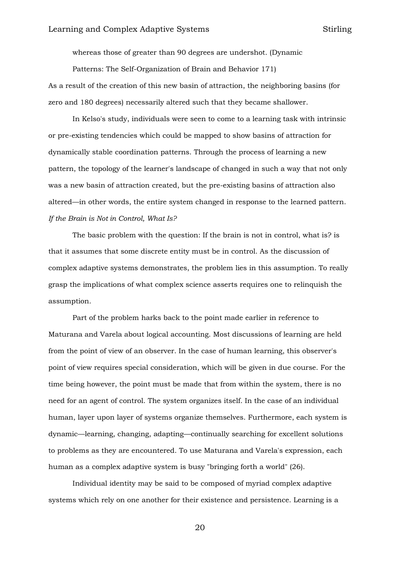whereas those of greater than 90 degrees are undershot. (Dynamic

Patterns: The Self-Organization of Brain and Behavior 171)

As a result of the creation of this new basin of attraction, the neighboring basins (for zero and 180 degrees) necessarily altered such that they became shallower.

In Kelso's study, individuals were seen to come to a learning task with intrinsic or pre-existing tendencies which could be mapped to show basins of attraction for dynamically stable coordination patterns. Through the process of learning a new pattern, the topology of the learner's landscape of changed in such a way that not only was a new basin of attraction created, but the pre-existing basins of attraction also altered—in other words, the entire system changed in response to the learned pattern. *If the Brain is Not in Control, What Is?*

The basic problem with the question: If the brain is not in control, what is? is that it assumes that some discrete entity must be in control. As the discussion of complex adaptive systems demonstrates, the problem lies in this assumption. To really grasp the implications of what complex science asserts requires one to relinquish the assumption.

Part of the problem harks back to the point made earlier in reference to Maturana and Varela about logical accounting. Most discussions of learning are held from the point of view of an observer. In the case of human learning, this observer's point of view requires special consideration, which will be given in due course. For the time being however, the point must be made that from within the system, there is no need for an agent of control. The system organizes itself. In the case of an individual human, layer upon layer of systems organize themselves. Furthermore, each system is dynamic—learning, changing, adapting—continually searching for excellent solutions to problems as they are encountered. To use Maturana and Varela's expression, each human as a complex adaptive system is busy "bringing forth a world" (26).

Individual identity may be said to be composed of myriad complex adaptive systems which rely on one another for their existence and persistence. Learning is a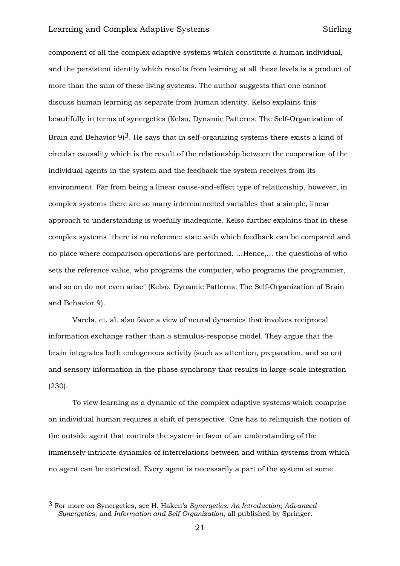component of all the complex adaptive systems which constitute a human individual, and the persistent identity which results from learning at all these levels is a product of more than the sum of these living systems. The author suggests that one cannot discuss human learning as separate from human identity. Kelso explains this beautifully in terms of synergetics (Kelso, Dynamic Patterns: The Self-Organization of Brain and Behavior  $9^3$ . He says that in self-organizing systems there exists a kind of circular causality which is the result of the relationship between the cooperation of the individual agents in the system and the feedback the system receives from its environment. Far from being a linear cause-and-effect type of relationship, however, in complex systems there are so many interconnected variables that a simple, linear approach to understanding is woefully inadequate. Kelso further explains that in these complex systems "there is no reference state with which feedback can be compared and no place where comparison operations are performed. …Hence,... the questions of who sets the reference value, who programs the computer, who programs the programmer, and so on do not even arise" (Kelso, Dynamic Patterns: The Self-Organization of Brain and Behavior 9).

Varela, et. al. also favor a view of neural dynamics that involves reciprocal information exchange rather than a stimulus-response model. They argue that the brain integrates both endogenous activity (such as attention, preparation, and so on) and sensory information in the phase synchrony that results in large-scale integration (230).

To view learning as a dynamic of the complex adaptive systems which comprise an individual human requires a shift of perspective. One has to relinquish the notion of the outside agent that controls the system in favor of an understanding of the immensely intricate dynamics of interrelations between and within systems from which no agent can be extricated. Every agent is necessarily a part of the system at some

-

<sup>3</sup> For more on Synergetics, see H. Haken's *Synergetics: An Introduction*; *Advanced Synergetics*; and *Information and Self-Organization*, all published by Springer.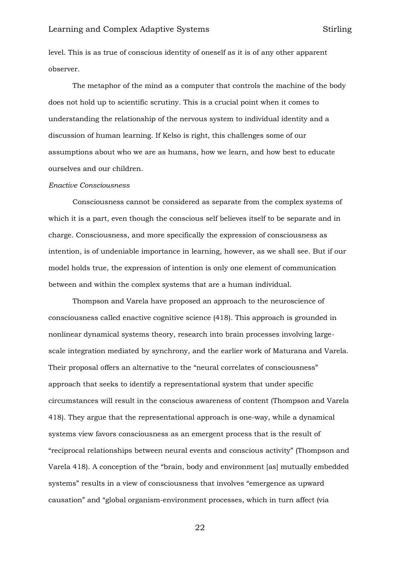level. This is as true of conscious identity of oneself as it is of any other apparent observer.

The metaphor of the mind as a computer that controls the machine of the body does not hold up to scientific scrutiny. This is a crucial point when it comes to understanding the relationship of the nervous system to individual identity and a discussion of human learning. If Kelso is right, this challenges some of our assumptions about who we are as humans, how we learn, and how best to educate ourselves and our children.

#### *Enactive Consciousness*

Consciousness cannot be considered as separate from the complex systems of which it is a part, even though the conscious self believes itself to be separate and in charge. Consciousness, and more specifically the expression of consciousness as intention, is of undeniable importance in learning, however, as we shall see. But if our model holds true, the expression of intention is only one element of communication between and within the complex systems that are a human individual.

Thompson and Varela have proposed an approach to the neuroscience of consciousness called enactive cognitive science (418). This approach is grounded in nonlinear dynamical systems theory, research into brain processes involving largescale integration mediated by synchrony, and the earlier work of Maturana and Varela. Their proposal offers an alternative to the "neural correlates of consciousness" approach that seeks to identify a representational system that under specific circumstances will result in the conscious awareness of content (Thompson and Varela 418). They argue that the representational approach is one-way, while a dynamical systems view favors consciousness as an emergent process that is the result of "reciprocal relationships between neural events and conscious activity" (Thompson and Varela 418). A conception of the "brain, body and environment [as] mutually embedded systems" results in a view of consciousness that involves "emergence as upward causation" and "global organism-environment processes, which in turn affect (via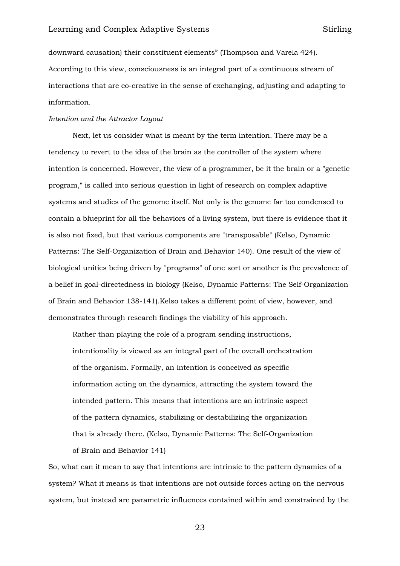downward causation) their constituent elements" (Thompson and Varela 424). According to this view, consciousness is an integral part of a continuous stream of interactions that are co-creative in the sense of exchanging, adjusting and adapting to information.

#### *Intention and the Attractor Layout*

Next, let us consider what is meant by the term intention. There may be a tendency to revert to the idea of the brain as the controller of the system where intention is concerned. However, the view of a programmer, be it the brain or a "genetic program," is called into serious question in light of research on complex adaptive systems and studies of the genome itself. Not only is the genome far too condensed to contain a blueprint for all the behaviors of a living system, but there is evidence that it is also not fixed, but that various components are "transposable" (Kelso, Dynamic Patterns: The Self-Organization of Brain and Behavior 140). One result of the view of biological unities being driven by "programs" of one sort or another is the prevalence of a belief in goal-directedness in biology (Kelso, Dynamic Patterns: The Self-Organization of Brain and Behavior 138-141).Kelso takes a different point of view, however, and demonstrates through research findings the viability of his approach.

Rather than playing the role of a program sending instructions, intentionality is viewed as an integral part of the overall orchestration of the organism. Formally, an intention is conceived as specific information acting on the dynamics, attracting the system toward the intended pattern. This means that intentions are an intrinsic aspect of the pattern dynamics, stabilizing or destabilizing the organization that is already there. (Kelso, Dynamic Patterns: The Self-Organization of Brain and Behavior 141)

So, what can it mean to say that intentions are intrinsic to the pattern dynamics of a system? What it means is that intentions are not outside forces acting on the nervous system, but instead are parametric influences contained within and constrained by the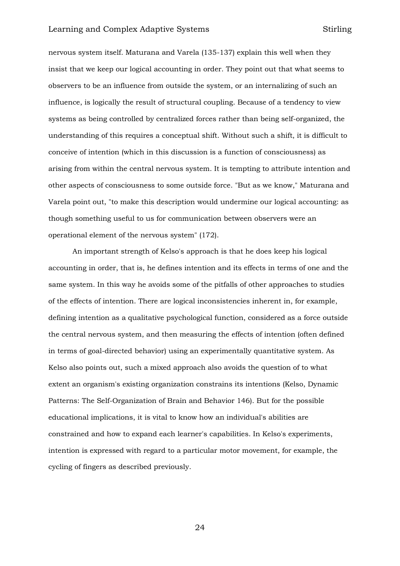nervous system itself. Maturana and Varela (135-137) explain this well when they insist that we keep our logical accounting in order. They point out that what seems to observers to be an influence from outside the system, or an internalizing of such an influence, is logically the result of structural coupling. Because of a tendency to view systems as being controlled by centralized forces rather than being self-organized, the understanding of this requires a conceptual shift. Without such a shift, it is difficult to conceive of intention (which in this discussion is a function of consciousness) as arising from within the central nervous system. It is tempting to attribute intention and other aspects of consciousness to some outside force. "But as we know," Maturana and Varela point out, "to make this description would undermine our logical accounting: as though something useful to us for communication between observers were an operational element of the nervous system" (172).

An important strength of Kelso's approach is that he does keep his logical accounting in order, that is, he defines intention and its effects in terms of one and the same system. In this way he avoids some of the pitfalls of other approaches to studies of the effects of intention. There are logical inconsistencies inherent in, for example, defining intention as a qualitative psychological function, considered as a force outside the central nervous system, and then measuring the effects of intention (often defined in terms of goal-directed behavior) using an experimentally quantitative system. As Kelso also points out, such a mixed approach also avoids the question of to what extent an organism's existing organization constrains its intentions (Kelso, Dynamic Patterns: The Self-Organization of Brain and Behavior 146). But for the possible educational implications, it is vital to know how an individual's abilities are constrained and how to expand each learner's capabilities. In Kelso's experiments, intention is expressed with regard to a particular motor movement, for example, the cycling of fingers as described previously.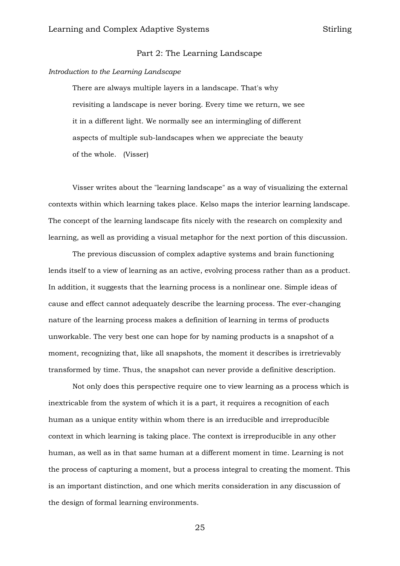## Part 2: The Learning Landscape

#### *Introduction to the Learning Landscape*

There are always multiple layers in a landscape. That's why revisiting a landscape is never boring. Every time we return, we see it in a different light. We normally see an intermingling of different aspects of multiple sub-landscapes when we appreciate the beauty of the whole. (Visser)

Visser writes about the "learning landscape" as a way of visualizing the external contexts within which learning takes place. Kelso maps the interior learning landscape. The concept of the learning landscape fits nicely with the research on complexity and learning, as well as providing a visual metaphor for the next portion of this discussion.

The previous discussion of complex adaptive systems and brain functioning lends itself to a view of learning as an active, evolving process rather than as a product. In addition, it suggests that the learning process is a nonlinear one. Simple ideas of cause and effect cannot adequately describe the learning process. The ever-changing nature of the learning process makes a definition of learning in terms of products unworkable. The very best one can hope for by naming products is a snapshot of a moment, recognizing that, like all snapshots, the moment it describes is irretrievably transformed by time. Thus, the snapshot can never provide a definitive description.

Not only does this perspective require one to view learning as a process which is inextricable from the system of which it is a part, it requires a recognition of each human as a unique entity within whom there is an irreducible and irreproducible context in which learning is taking place. The context is irreproducible in any other human, as well as in that same human at a different moment in time. Learning is not the process of capturing a moment, but a process integral to creating the moment. This is an important distinction, and one which merits consideration in any discussion of the design of formal learning environments.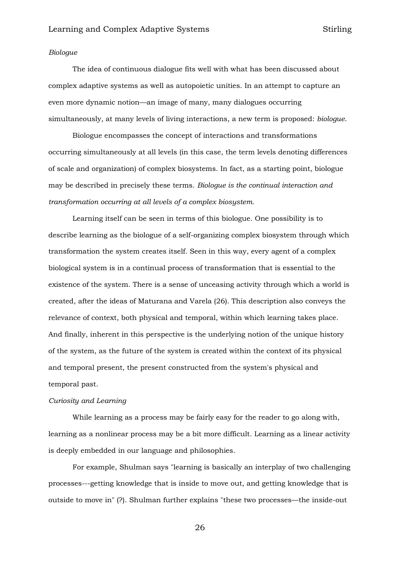#### *Biologue*

The idea of continuous dialogue fits well with what has been discussed about complex adaptive systems as well as autopoietic unities. In an attempt to capture an even more dynamic notion—an image of many, many dialogues occurring simultaneously, at many levels of living interactions, a new term is proposed: *biologue*.

Biologue encompasses the concept of interactions and transformations occurring simultaneously at all levels (in this case, the term levels denoting differences of scale and organization) of complex biosystems. In fact, as a starting point, biologue may be described in precisely these terms. *Biologue is the continual interaction and transformation occurring at all levels of a complex biosystem.*

Learning itself can be seen in terms of this biologue. One possibility is to describe learning as the biologue of a self-organizing complex biosystem through which transformation the system creates itself. Seen in this way, every agent of a complex biological system is in a continual process of transformation that is essential to the existence of the system. There is a sense of unceasing activity through which a world is created, after the ideas of Maturana and Varela (26). This description also conveys the relevance of context, both physical and temporal, within which learning takes place. And finally, inherent in this perspective is the underlying notion of the unique history of the system, as the future of the system is created within the context of its physical and temporal present, the present constructed from the system's physical and temporal past.

## *Curiosity and Learning*

While learning as a process may be fairly easy for the reader to go along with, learning as a nonlinear process may be a bit more difficult. Learning as a linear activity is deeply embedded in our language and philosophies.

For example, Shulman says "learning is basically an interplay of two challenging processes---getting knowledge that is inside to move out, and getting knowledge that is outside to move in" (?). Shulman further explains "these two processes—the inside-out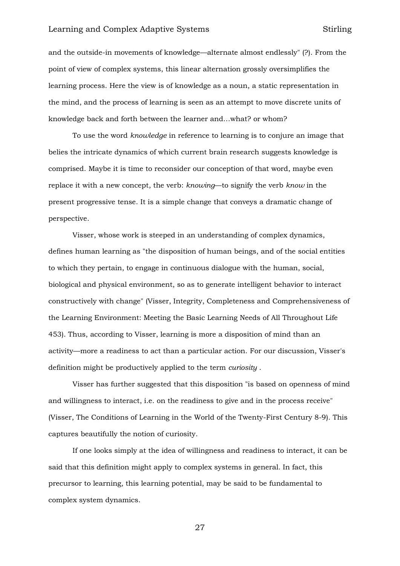and the outside-in movements of knowledge—alternate almost endlessly" (?). From the point of view of complex systems, this linear alternation grossly oversimplifies the learning process. Here the view is of knowledge as a noun, a static representation in the mind, and the process of learning is seen as an attempt to move discrete units of knowledge back and forth between the learner and…what? or whom?

To use the word *knowledge* in reference to learning is to conjure an image that belies the intricate dynamics of which current brain research suggests knowledge is comprised. Maybe it is time to reconsider our conception of that word, maybe even replace it with a new concept, the verb: *knowing*—to signify the verb *know* in the present progressive tense. It is a simple change that conveys a dramatic change of perspective.

Visser, whose work is steeped in an understanding of complex dynamics, defines human learning as "the disposition of human beings, and of the social entities to which they pertain, to engage in continuous dialogue with the human, social, biological and physical environment, so as to generate intelligent behavior to interact constructively with change" (Visser, Integrity, Completeness and Comprehensiveness of the Learning Environment: Meeting the Basic Learning Needs of All Throughout Life 453). Thus, according to Visser, learning is more a disposition of mind than an activity—more a readiness to act than a particular action. For our discussion, Visser's definition might be productively applied to the term *curiosity* .

Visser has further suggested that this disposition "is based on openness of mind and willingness to interact, i.e. on the readiness to give and in the process receive" (Visser, The Conditions of Learning in the World of the Twenty-First Century 8-9). This captures beautifully the notion of curiosity.

If one looks simply at the idea of willingness and readiness to interact, it can be said that this definition might apply to complex systems in general. In fact, this precursor to learning, this learning potential, may be said to be fundamental to complex system dynamics.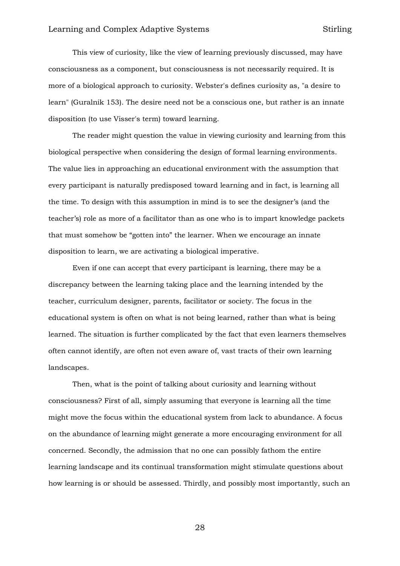This view of curiosity, like the view of learning previously discussed, may have consciousness as a component, but consciousness is not necessarily required. It is more of a biological approach to curiosity. Webster's defines curiosity as, "a desire to learn" (Guralnik 153). The desire need not be a conscious one, but rather is an innate disposition (to use Visser's term) toward learning.

The reader might question the value in viewing curiosity and learning from this biological perspective when considering the design of formal learning environments. The value lies in approaching an educational environment with the assumption that every participant is naturally predisposed toward learning and in fact, is learning all the time. To design with this assumption in mind is to see the designer's (and the teacher's) role as more of a facilitator than as one who is to impart knowledge packets that must somehow be "gotten into" the learner. When we encourage an innate disposition to learn, we are activating a biological imperative.

Even if one can accept that every participant is learning, there may be a discrepancy between the learning taking place and the learning intended by the teacher, curriculum designer, parents, facilitator or society. The focus in the educational system is often on what is not being learned, rather than what is being learned. The situation is further complicated by the fact that even learners themselves often cannot identify, are often not even aware of, vast tracts of their own learning landscapes.

Then, what is the point of talking about curiosity and learning without consciousness? First of all, simply assuming that everyone is learning all the time might move the focus within the educational system from lack to abundance. A focus on the abundance of learning might generate a more encouraging environment for all concerned. Secondly, the admission that no one can possibly fathom the entire learning landscape and its continual transformation might stimulate questions about how learning is or should be assessed. Thirdly, and possibly most importantly, such an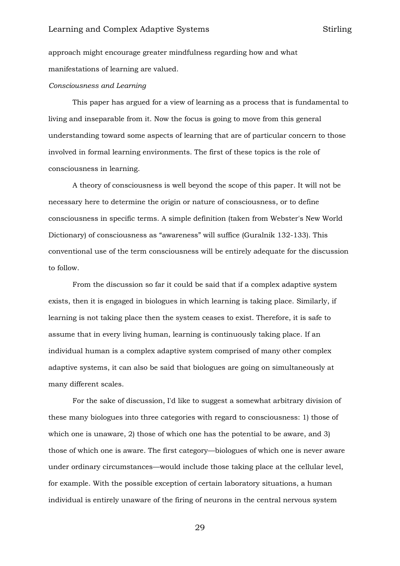approach might encourage greater mindfulness regarding how and what manifestations of learning are valued.

#### *Consciousness and Learning*

This paper has argued for a view of learning as a process that is fundamental to living and inseparable from it. Now the focus is going to move from this general understanding toward some aspects of learning that are of particular concern to those involved in formal learning environments. The first of these topics is the role of consciousness in learning.

A theory of consciousness is well beyond the scope of this paper. It will not be necessary here to determine the origin or nature of consciousness, or to define consciousness in specific terms. A simple definition (taken from Webster's New World Dictionary) of consciousness as "awareness" will suffice (Guralnik 132-133). This conventional use of the term consciousness will be entirely adequate for the discussion to follow.

From the discussion so far it could be said that if a complex adaptive system exists, then it is engaged in biologues in which learning is taking place. Similarly, if learning is not taking place then the system ceases to exist. Therefore, it is safe to assume that in every living human, learning is continuously taking place. If an individual human is a complex adaptive system comprised of many other complex adaptive systems, it can also be said that biologues are going on simultaneously at many different scales.

For the sake of discussion, I'd like to suggest a somewhat arbitrary division of these many biologues into three categories with regard to consciousness: 1) those of which one is unaware, 2) those of which one has the potential to be aware, and 3) those of which one is aware. The first category—biologues of which one is never aware under ordinary circumstances—would include those taking place at the cellular level, for example. With the possible exception of certain laboratory situations, a human individual is entirely unaware of the firing of neurons in the central nervous system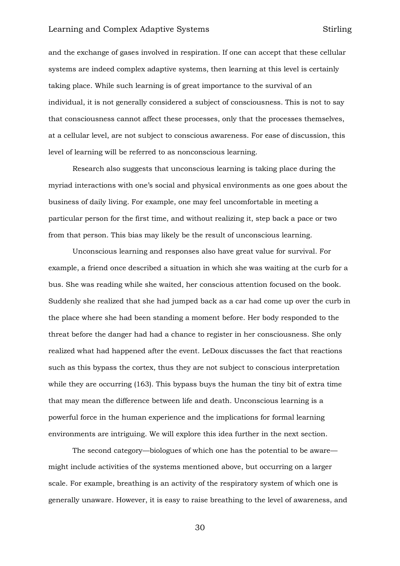and the exchange of gases involved in respiration. If one can accept that these cellular systems are indeed complex adaptive systems, then learning at this level is certainly taking place. While such learning is of great importance to the survival of an individual, it is not generally considered a subject of consciousness. This is not to say that consciousness cannot affect these processes, only that the processes themselves, at a cellular level, are not subject to conscious awareness. For ease of discussion, this level of learning will be referred to as nonconscious learning.

Research also suggests that unconscious learning is taking place during the myriad interactions with one's social and physical environments as one goes about the business of daily living. For example, one may feel uncomfortable in meeting a particular person for the first time, and without realizing it, step back a pace or two from that person. This bias may likely be the result of unconscious learning.

Unconscious learning and responses also have great value for survival. For example, a friend once described a situation in which she was waiting at the curb for a bus. She was reading while she waited, her conscious attention focused on the book. Suddenly she realized that she had jumped back as a car had come up over the curb in the place where she had been standing a moment before. Her body responded to the threat before the danger had had a chance to register in her consciousness. She only realized what had happened after the event. LeDoux discusses the fact that reactions such as this bypass the cortex, thus they are not subject to conscious interpretation while they are occurring (163). This bypass buys the human the tiny bit of extra time that may mean the difference between life and death. Unconscious learning is a powerful force in the human experience and the implications for formal learning environments are intriguing. We will explore this idea further in the next section.

The second category—biologues of which one has the potential to be aware might include activities of the systems mentioned above, but occurring on a larger scale. For example, breathing is an activity of the respiratory system of which one is generally unaware. However, it is easy to raise breathing to the level of awareness, and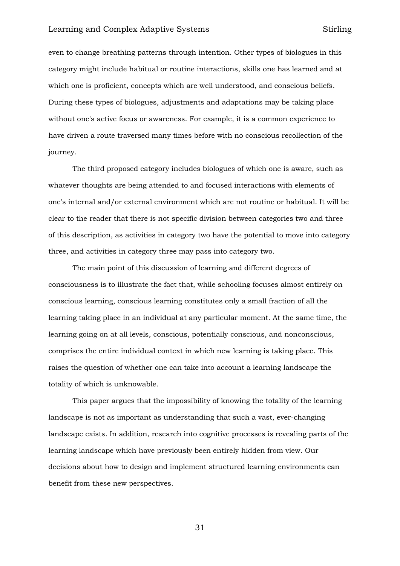even to change breathing patterns through intention. Other types of biologues in this category might include habitual or routine interactions, skills one has learned and at which one is proficient, concepts which are well understood, and conscious beliefs. During these types of biologues, adjustments and adaptations may be taking place without one's active focus or awareness. For example, it is a common experience to have driven a route traversed many times before with no conscious recollection of the journey.

The third proposed category includes biologues of which one is aware, such as whatever thoughts are being attended to and focused interactions with elements of one's internal and/or external environment which are not routine or habitual. It will be clear to the reader that there is not specific division between categories two and three of this description, as activities in category two have the potential to move into category three, and activities in category three may pass into category two.

The main point of this discussion of learning and different degrees of consciousness is to illustrate the fact that, while schooling focuses almost entirely on conscious learning, conscious learning constitutes only a small fraction of all the learning taking place in an individual at any particular moment. At the same time, the learning going on at all levels, conscious, potentially conscious, and nonconscious, comprises the entire individual context in which new learning is taking place. This raises the question of whether one can take into account a learning landscape the totality of which is unknowable.

This paper argues that the impossibility of knowing the totality of the learning landscape is not as important as understanding that such a vast, ever-changing landscape exists. In addition, research into cognitive processes is revealing parts of the learning landscape which have previously been entirely hidden from view. Our decisions about how to design and implement structured learning environments can benefit from these new perspectives.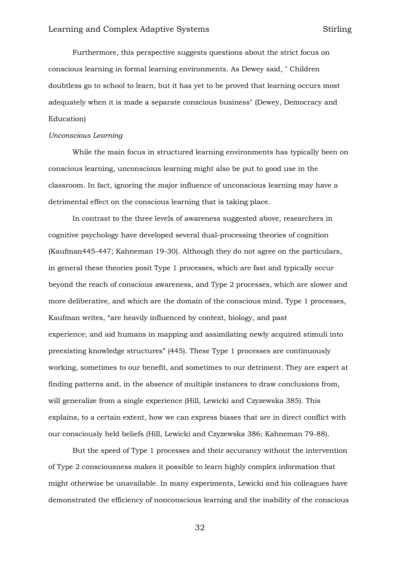Furthermore, this perspective suggests questions about the strict focus on conscious learning in formal learning environments. As Dewey said, " Children doubtless go to school to learn, but it has yet to be proved that learning occurs most adequately when it is made a separate conscious business" (Dewey, Democracy and Education)

#### *Unconscious Learning*

While the main focus in structured learning environments has typically been on conscious learning, unconscious learning might also be put to good use in the classroom. In fact, ignoring the major influence of unconscious learning may have a detrimental effect on the conscious learning that is taking place.

In contrast to the three levels of awareness suggested above, researchers in cognitive psychology have developed several dual-processing theories of cognition (Kaufman445-447; Kahneman 19-30). Although they do not agree on the particulars, in general these theories posit Type 1 processes, which are fast and typically occur beyond the reach of conscious awareness, and Type 2 processes, which are slower and more deliberative, and which are the domain of the conscious mind. Type 1 processes, Kaufman writes, "are heavily influenced by context, biology, and past experience; and aid humans in mapping and assimilating newly acquired stimuli into preexisting knowledge structures" (445). These Type 1 processes are continuously working, sometimes to our benefit, and sometimes to our detriment. They are expert at finding patterns and, in the absence of multiple instances to draw conclusions from, will generalize from a single experience (Hill, Lewicki and Czyzewska 385). This explains, to a certain extent, how we can express biases that are in direct conflict with our consciously held beliefs (Hill, Lewicki and Czyzewska 386; Kahneman 79-88).

But the speed of Type 1 processes and their accurancy without the intervention of Type 2 consciousness makes it possible to learn highly complex information that might otherwise be unavailable. In many experiments, Lewicki and his colleagues have demonstrated the efficiency of nonconscious learning and the inability of the conscious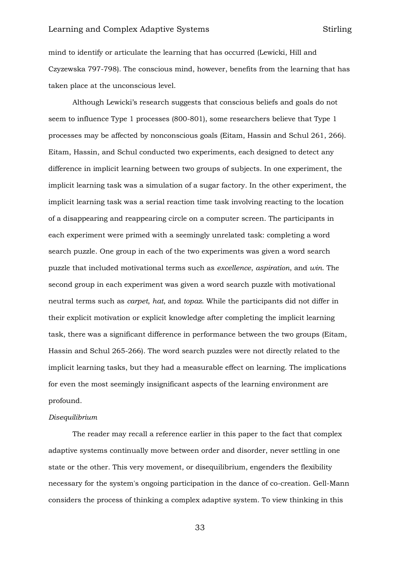mind to identify or articulate the learning that has occurred (Lewicki, Hill and Czyzewska 797-798). The conscious mind, however, benefits from the learning that has taken place at the unconscious level.

Although Lewicki's research suggests that conscious beliefs and goals do not seem to influence Type 1 processes (800-801), some researchers believe that Type 1 processes may be affected by nonconscious goals (Eitam, Hassin and Schul 261, 266). Eitam, Hassin, and Schul conducted two experiments, each designed to detect any difference in implicit learning between two groups of subjects. In one experiment, the implicit learning task was a simulation of a sugar factory. In the other experiment, the implicit learning task was a serial reaction time task involving reacting to the location of a disappearing and reappearing circle on a computer screen. The participants in each experiment were primed with a seemingly unrelated task: completing a word search puzzle. One group in each of the two experiments was given a word search puzzle that included motivational terms such as *excellence*, *aspiration*, and *win*. The second group in each experiment was given a word search puzzle with motivational neutral terms such as *carpet*, *hat*, and *topaz*. While the participants did not differ in their explicit motivation or explicit knowledge after completing the implicit learning task, there was a significant difference in performance between the two groups (Eitam, Hassin and Schul 265-266). The word search puzzles were not directly related to the implicit learning tasks, but they had a measurable effect on learning. The implications for even the most seemingly insignificant aspects of the learning environment are profound.

#### *Disequilibrium*

The reader may recall a reference earlier in this paper to the fact that complex adaptive systems continually move between order and disorder, never settling in one state or the other. This very movement, or disequilibrium, engenders the flexibility necessary for the system's ongoing participation in the dance of co-creation. Gell-Mann considers the process of thinking a complex adaptive system. To view thinking in this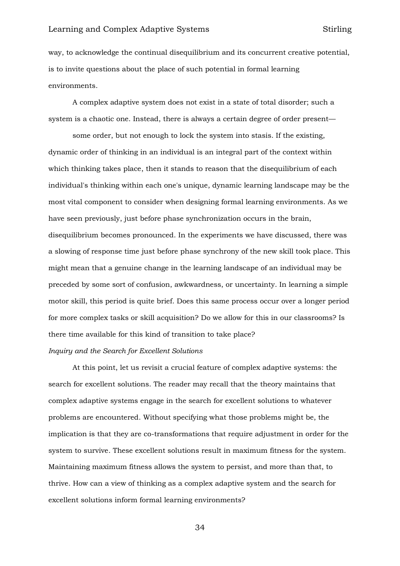way, to acknowledge the continual disequilibrium and its concurrent creative potential, is to invite questions about the place of such potential in formal learning environments.

A complex adaptive system does not exist in a state of total disorder; such a system is a chaotic one. Instead, there is always a certain degree of order present—

some order, but not enough to lock the system into stasis. If the existing, dynamic order of thinking in an individual is an integral part of the context within which thinking takes place, then it stands to reason that the disequilibrium of each individual's thinking within each one's unique, dynamic learning landscape may be the most vital component to consider when designing formal learning environments. As we have seen previously, just before phase synchronization occurs in the brain, disequilibrium becomes pronounced. In the experiments we have discussed, there was a slowing of response time just before phase synchrony of the new skill took place. This might mean that a genuine change in the learning landscape of an individual may be preceded by some sort of confusion, awkwardness, or uncertainty. In learning a simple motor skill, this period is quite brief. Does this same process occur over a longer period for more complex tasks or skill acquisition? Do we allow for this in our classrooms? Is there time available for this kind of transition to take place?

#### *Inquiry and the Search for Excellent Solutions*

At this point, let us revisit a crucial feature of complex adaptive systems: the search for excellent solutions. The reader may recall that the theory maintains that complex adaptive systems engage in the search for excellent solutions to whatever problems are encountered. Without specifying what those problems might be, the implication is that they are co-transformations that require adjustment in order for the system to survive. These excellent solutions result in maximum fitness for the system. Maintaining maximum fitness allows the system to persist, and more than that, to thrive. How can a view of thinking as a complex adaptive system and the search for excellent solutions inform formal learning environments?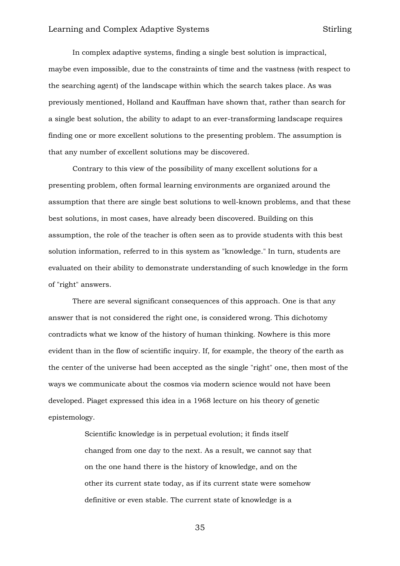In complex adaptive systems, finding a single best solution is impractical, maybe even impossible, due to the constraints of time and the vastness (with respect to the searching agent) of the landscape within which the search takes place. As was previously mentioned, Holland and Kauffman have shown that, rather than search for a single best solution, the ability to adapt to an ever-transforming landscape requires finding one or more excellent solutions to the presenting problem. The assumption is that any number of excellent solutions may be discovered.

Contrary to this view of the possibility of many excellent solutions for a presenting problem, often formal learning environments are organized around the assumption that there are single best solutions to well-known problems, and that these best solutions, in most cases, have already been discovered. Building on this assumption, the role of the teacher is often seen as to provide students with this best solution information, referred to in this system as "knowledge." In turn, students are evaluated on their ability to demonstrate understanding of such knowledge in the form of "right" answers.

There are several significant consequences of this approach. One is that any answer that is not considered the right one, is considered wrong. This dichotomy contradicts what we know of the history of human thinking. Nowhere is this more evident than in the flow of scientific inquiry. If, for example, the theory of the earth as the center of the universe had been accepted as the single "right" one, then most of the ways we communicate about the cosmos via modern science would not have been developed. Piaget expressed this idea in a 1968 lecture on his theory of genetic epistemology.

> Scientific knowledge is in perpetual evolution; it finds itself changed from one day to the next. As a result, we cannot say that on the one hand there is the history of knowledge, and on the other its current state today, as if its current state were somehow definitive or even stable. The current state of knowledge is a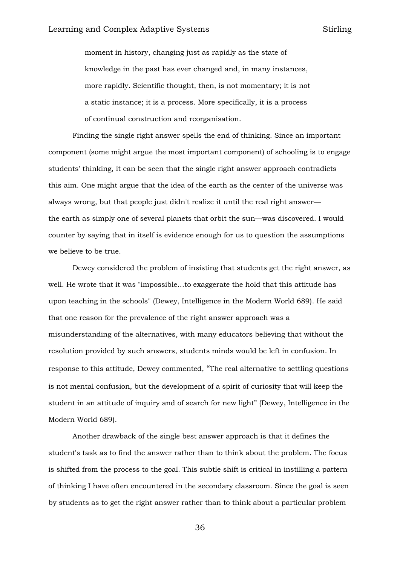moment in history, changing just as rapidly as the state of knowledge in the past has ever changed and, in many instances, more rapidly. Scientific thought, then, is not momentary; it is not a static instance; it is a process. More specifically, it is a process of continual construction and reorganisation.

Finding the single right answer spells the end of thinking. Since an important component (some might argue the most important component) of schooling is to engage students' thinking, it can be seen that the single right answer approach contradicts this aim. One might argue that the idea of the earth as the center of the universe was always wrong, but that people just didn't realize it until the real right answer the earth as simply one of several planets that orbit the sun—was discovered. I would counter by saying that in itself is evidence enough for us to question the assumptions we believe to be true.

Dewey considered the problem of insisting that students get the right answer, as well. He wrote that it was "impossible…to exaggerate the hold that this attitude has upon teaching in the schools" (Dewey, Intelligence in the Modern World 689). He said that one reason for the prevalence of the right answer approach was a misunderstanding of the alternatives, with many educators believing that without the resolution provided by such answers, students minds would be left in confusion. In response to this attitude, Dewey commented, "The real alternative to settling questions is not mental confusion, but the development of a spirit of curiosity that will keep the student in an attitude of inquiry and of search for new light" (Dewey, Intelligence in the Modern World 689).

Another drawback of the single best answer approach is that it defines the student's task as to find the answer rather than to think about the problem. The focus is shifted from the process to the goal. This subtle shift is critical in instilling a pattern of thinking I have often encountered in the secondary classroom. Since the goal is seen by students as to get the right answer rather than to think about a particular problem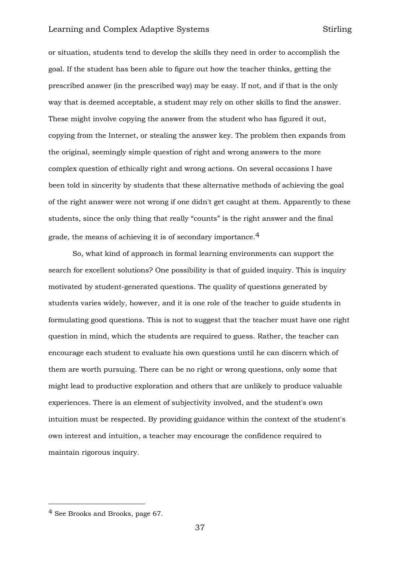or situation, students tend to develop the skills they need in order to accomplish the goal. If the student has been able to figure out how the teacher thinks, getting the prescribed answer (in the prescribed way) may be easy. If not, and if that is the only way that is deemed acceptable, a student may rely on other skills to find the answer. These might involve copying the answer from the student who has figured it out, copying from the Internet, or stealing the answer key. The problem then expands from the original, seemingly simple question of right and wrong answers to the more complex question of ethically right and wrong actions. On several occasions I have been told in sincerity by students that these alternative methods of achieving the goal of the right answer were not wrong if one didn't get caught at them. Apparently to these students, since the only thing that really "counts" is the right answer and the final grade, the means of achieving it is of secondary importance.<sup>4</sup>

So, what kind of approach in formal learning environments can support the search for excellent solutions? One possibility is that of guided inquiry. This is inquiry motivated by student-generated questions. The quality of questions generated by students varies widely, however, and it is one role of the teacher to guide students in formulating good questions. This is not to suggest that the teacher must have one right question in mind, which the students are required to guess. Rather, the teacher can encourage each student to evaluate his own questions until he can discern which of them are worth pursuing. There can be no right or wrong questions, only some that might lead to productive exploration and others that are unlikely to produce valuable experiences. There is an element of subjectivity involved, and the student's own intuition must be respected. By providing guidance within the context of the student's own interest and intuition, a teacher may encourage the confidence required to maintain rigorous inquiry.

-

<sup>4</sup> See Brooks and Brooks, page 67.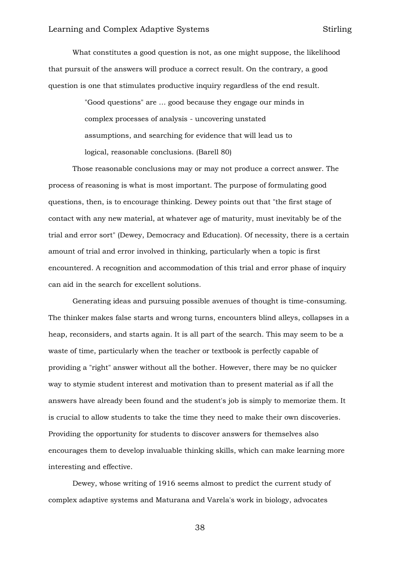What constitutes a good question is not, as one might suppose, the likelihood that pursuit of the answers will produce a correct result. On the contrary, a good question is one that stimulates productive inquiry regardless of the end result.

> "Good questions" are … good because they engage our minds in complex processes of analysis - uncovering unstated assumptions, and searching for evidence that will lead us to logical, reasonable conclusions. (Barell 80)

Those reasonable conclusions may or may not produce a correct answer. The process of reasoning is what is most important. The purpose of formulating good questions, then, is to encourage thinking. Dewey points out that "the first stage of contact with any new material, at whatever age of maturity, must inevitably be of the trial and error sort" (Dewey, Democracy and Education). Of necessity, there is a certain amount of trial and error involved in thinking, particularly when a topic is first encountered. A recognition and accommodation of this trial and error phase of inquiry can aid in the search for excellent solutions.

Generating ideas and pursuing possible avenues of thought is time-consuming. The thinker makes false starts and wrong turns, encounters blind alleys, collapses in a heap, reconsiders, and starts again. It is all part of the search. This may seem to be a waste of time, particularly when the teacher or textbook is perfectly capable of providing a "right" answer without all the bother. However, there may be no quicker way to stymie student interest and motivation than to present material as if all the answers have already been found and the student's job is simply to memorize them. It is crucial to allow students to take the time they need to make their own discoveries. Providing the opportunity for students to discover answers for themselves also encourages them to develop invaluable thinking skills, which can make learning more interesting and effective.

Dewey, whose writing of 1916 seems almost to predict the current study of complex adaptive systems and Maturana and Varela's work in biology, advocates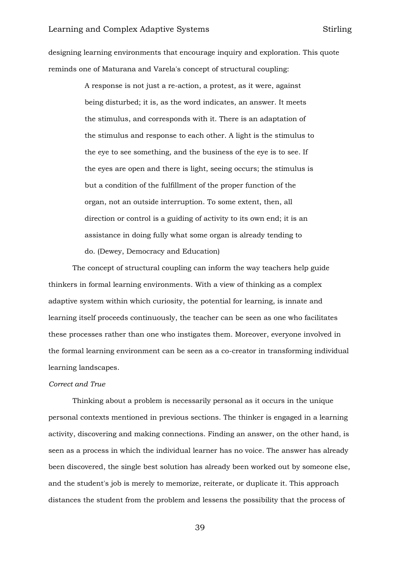designing learning environments that encourage inquiry and exploration. This quote reminds one of Maturana and Varela's concept of structural coupling:

> A response is not just a re-action, a protest, as it were, against being disturbed; it is, as the word indicates, an answer. It meets the stimulus, and corresponds with it. There is an adaptation of the stimulus and response to each other. A light is the stimulus to the eye to see something, and the business of the eye is to see. If the eyes are open and there is light, seeing occurs; the stimulus is but a condition of the fulfillment of the proper function of the organ, not an outside interruption. To some extent, then, all direction or control is a guiding of activity to its own end; it is an assistance in doing fully what some organ is already tending to do. (Dewey, Democracy and Education)

The concept of structural coupling can inform the way teachers help guide thinkers in formal learning environments. With a view of thinking as a complex adaptive system within which curiosity, the potential for learning, is innate and learning itself proceeds continuously, the teacher can be seen as one who facilitates these processes rather than one who instigates them. Moreover, everyone involved in the formal learning environment can be seen as a co-creator in transforming individual learning landscapes.

#### *Correct and True*

Thinking about a problem is necessarily personal as it occurs in the unique personal contexts mentioned in previous sections. The thinker is engaged in a learning activity, discovering and making connections. Finding an answer, on the other hand, is seen as a process in which the individual learner has no voice. The answer has already been discovered, the single best solution has already been worked out by someone else, and the student's job is merely to memorize, reiterate, or duplicate it. This approach distances the student from the problem and lessens the possibility that the process of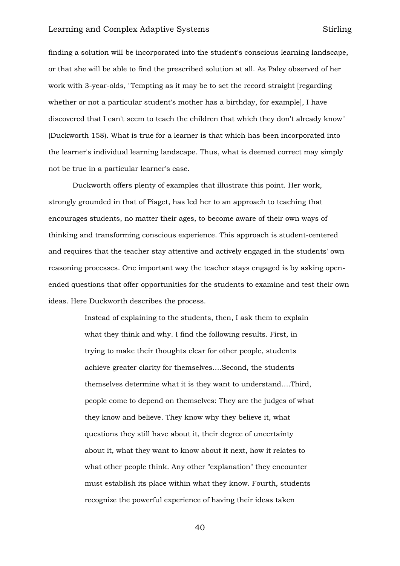finding a solution will be incorporated into the student's conscious learning landscape, or that she will be able to find the prescribed solution at all. As Paley observed of her work with 3-year-olds, "Tempting as it may be to set the record straight [regarding whether or not a particular student's mother has a birthday, for example], I have discovered that I can't seem to teach the children that which they don't already know" (Duckworth 158). What is true for a learner is that which has been incorporated into the learner's individual learning landscape. Thus, what is deemed correct may simply not be true in a particular learner's case.

Duckworth offers plenty of examples that illustrate this point. Her work, strongly grounded in that of Piaget, has led her to an approach to teaching that encourages students, no matter their ages, to become aware of their own ways of thinking and transforming conscious experience. This approach is student-centered and requires that the teacher stay attentive and actively engaged in the students' own reasoning processes. One important way the teacher stays engaged is by asking openended questions that offer opportunities for the students to examine and test their own ideas. Here Duckworth describes the process.

> Instead of explaining to the students, then, I ask them to explain what they think and why. I find the following results. First, in trying to make their thoughts clear for other people, students achieve greater clarity for themselves….Second, the students themselves determine what it is they want to understand….Third, people come to depend on themselves: They are the judges of what they know and believe. They know why they believe it, what questions they still have about it, their degree of uncertainty about it, what they want to know about it next, how it relates to what other people think. Any other "explanation" they encounter must establish its place within what they know. Fourth, students recognize the powerful experience of having their ideas taken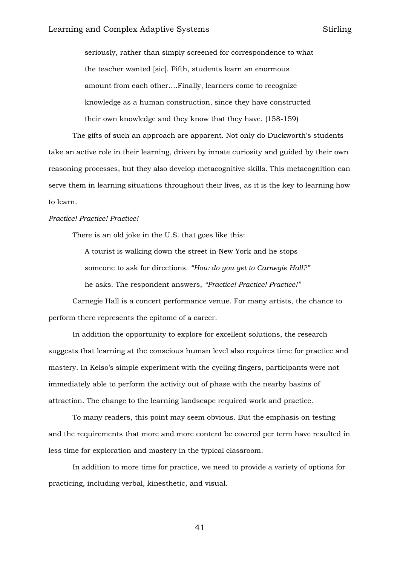seriously, rather than simply screened for correspondence to what the teacher wanted [sic]. Fifth, students learn an enormous amount from each other….Finally, learners come to recognize knowledge as a human construction, since they have constructed their own knowledge and they know that they have. (158-159)

The gifts of such an approach are apparent. Not only do Duckworth's students take an active role in their learning, driven by innate curiosity and guided by their own reasoning processes, but they also develop metacognitive skills. This metacognition can serve them in learning situations throughout their lives, as it is the key to learning how to learn.

#### *Practice! Practice! Practice!*

There is an old joke in the U.S. that goes like this:

A tourist is walking down the street in New York and he stops someone to ask for directions. *"How do you get to Carnegie Hall?"* he asks. The respondent answers, *"Practice! Practice! Practice!"*

Carnegie Hall is a concert performance venue. For many artists, the chance to perform there represents the epitome of a career.

In addition the opportunity to explore for excellent solutions, the research suggests that learning at the conscious human level also requires time for practice and mastery. In Kelso's simple experiment with the cycling fingers, participants were not immediately able to perform the activity out of phase with the nearby basins of attraction. The change to the learning landscape required work and practice.

To many readers, this point may seem obvious. But the emphasis on testing and the requirements that more and more content be covered per term have resulted in less time for exploration and mastery in the typical classroom.

In addition to more time for practice, we need to provide a variety of options for practicing, including verbal, kinesthetic, and visual.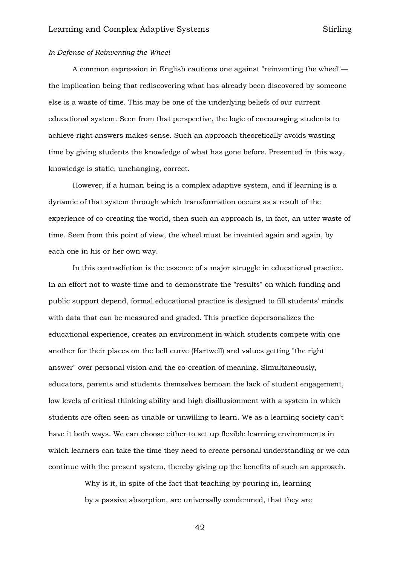#### *In Defense of Reinventing the Wheel*

A common expression in English cautions one against "reinventing the wheel" the implication being that rediscovering what has already been discovered by someone else is a waste of time. This may be one of the underlying beliefs of our current educational system. Seen from that perspective, the logic of encouraging students to achieve right answers makes sense. Such an approach theoretically avoids wasting time by giving students the knowledge of what has gone before. Presented in this way, knowledge is static, unchanging, correct.

However, if a human being is a complex adaptive system, and if learning is a dynamic of that system through which transformation occurs as a result of the experience of co-creating the world, then such an approach is, in fact, an utter waste of time. Seen from this point of view, the wheel must be invented again and again, by each one in his or her own way.

In this contradiction is the essence of a major struggle in educational practice. In an effort not to waste time and to demonstrate the "results" on which funding and public support depend, formal educational practice is designed to fill students' minds with data that can be measured and graded. This practice depersonalizes the educational experience, creates an environment in which students compete with one another for their places on the bell curve (Hartwell) and values getting "the right answer" over personal vision and the co-creation of meaning. Simultaneously, educators, parents and students themselves bemoan the lack of student engagement, low levels of critical thinking ability and high disillusionment with a system in which students are often seen as unable or unwilling to learn. We as a learning society can't have it both ways. We can choose either to set up flexible learning environments in which learners can take the time they need to create personal understanding or we can continue with the present system, thereby giving up the benefits of such an approach.

> Why is it, in spite of the fact that teaching by pouring in, learning by a passive absorption, are universally condemned, that they are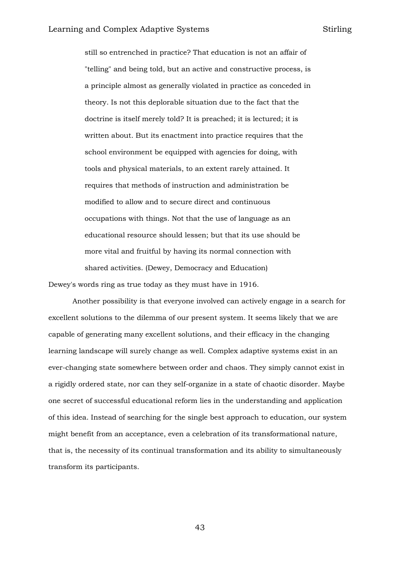still so entrenched in practice? That education is not an affair of "telling" and being told, but an active and constructive process, is a principle almost as generally violated in practice as conceded in theory. Is not this deplorable situation due to the fact that the doctrine is itself merely told? It is preached; it is lectured; it is written about. But its enactment into practice requires that the school environment be equipped with agencies for doing, with tools and physical materials, to an extent rarely attained. It requires that methods of instruction and administration be modified to allow and to secure direct and continuous occupations with things. Not that the use of language as an educational resource should lessen; but that its use should be more vital and fruitful by having its normal connection with shared activities. (Dewey, Democracy and Education)

Dewey's words ring as true today as they must have in 1916.

Another possibility is that everyone involved can actively engage in a search for excellent solutions to the dilemma of our present system. It seems likely that we are capable of generating many excellent solutions, and their efficacy in the changing learning landscape will surely change as well. Complex adaptive systems exist in an ever-changing state somewhere between order and chaos. They simply cannot exist in a rigidly ordered state, nor can they self-organize in a state of chaotic disorder. Maybe one secret of successful educational reform lies in the understanding and application of this idea. Instead of searching for the single best approach to education, our system might benefit from an acceptance, even a celebration of its transformational nature, that is, the necessity of its continual transformation and its ability to simultaneously transform its participants.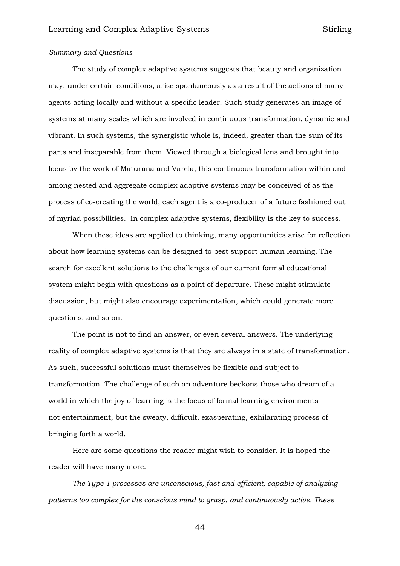## *Summary and Questions*

The study of complex adaptive systems suggests that beauty and organization may, under certain conditions, arise spontaneously as a result of the actions of many agents acting locally and without a specific leader. Such study generates an image of systems at many scales which are involved in continuous transformation, dynamic and vibrant. In such systems, the synergistic whole is, indeed, greater than the sum of its parts and inseparable from them. Viewed through a biological lens and brought into focus by the work of Maturana and Varela, this continuous transformation within and among nested and aggregate complex adaptive systems may be conceived of as the process of co-creating the world; each agent is a co-producer of a future fashioned out of myriad possibilities. In complex adaptive systems, flexibility is the key to success.

When these ideas are applied to thinking, many opportunities arise for reflection about how learning systems can be designed to best support human learning. The search for excellent solutions to the challenges of our current formal educational system might begin with questions as a point of departure. These might stimulate discussion, but might also encourage experimentation, which could generate more questions, and so on.

The point is not to find an answer, or even several answers. The underlying reality of complex adaptive systems is that they are always in a state of transformation. As such, successful solutions must themselves be flexible and subject to transformation. The challenge of such an adventure beckons those who dream of a world in which the joy of learning is the focus of formal learning environments not entertainment, but the sweaty, difficult, exasperating, exhilarating process of bringing forth a world.

Here are some questions the reader might wish to consider. It is hoped the reader will have many more.

*The Type 1 processes are unconscious, fast and efficient, capable of analyzing patterns too complex for the conscious mind to grasp, and continuously active. These*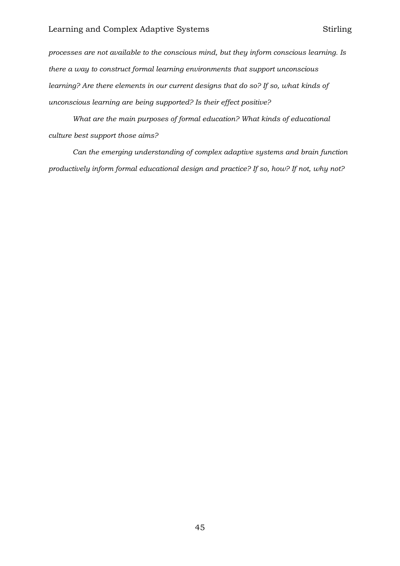*processes are not available to the conscious mind, but they inform conscious learning. Is there a way to construct formal learning environments that support unconscious learning? Are there elements in our current designs that do so? If so, what kinds of unconscious learning are being supported? Is their effect positive?*

*What are the main purposes of formal education? What kinds of educational culture best support those aims?* 

*Can the emerging understanding of complex adaptive systems and brain function productively inform formal educational design and practice? If so, how? If not, why not?*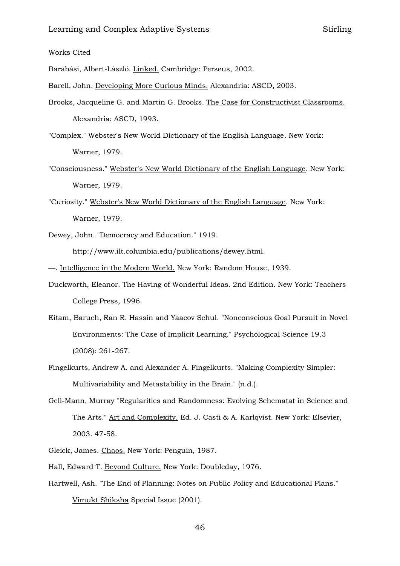#### Works Cited

Barabási, Albert-László. Linked. Cambridge: Perseus, 2002.

- Barell, John. Developing More Curious Minds. Alexandria: ASCD, 2003.
- Brooks, Jacqueline G. and Martin G. Brooks. The Case for Constructivist Classrooms. Alexandria: ASCD, 1993.
- "Complex." Webster's New World Dictionary of the English Language. New York: Warner, 1979.
- "Consciousness." Webster's New World Dictionary of the English Language. New York: Warner, 1979.
- "Curiosity." Webster's New World Dictionary of the English Language. New York: Warner, 1979.
- Dewey, John. "Democracy and Education." 1919. http://www.ilt.columbia.edu/publications/dewey.html.
- —. Intelligence in the Modern World. New York: Random House, 1939.
- Duckworth, Eleanor. The Having of Wonderful Ideas. 2nd Edition. New York: Teachers College Press, 1996.
- Eitam, Baruch, Ran R. Hassin and Yaacov Schul. "Nonconscious Goal Pursuit in Novel Environments: The Case of Implicit Learning." Psychological Science 19.3 (2008): 261-267.
- Fingelkurts, Andrew A. and Alexander A. Fingelkurts. "Making Complexity Simpler: Multivariability and Metastability in the Brain." (n.d.).
- Gell-Mann, Murray "Regularities and Randomness: Evolving Schematat in Science and The Arts." Art and Complexity. Ed. J. Casti & A. Karlqvist. New York: Elsevier, 2003. 47-58.
- Gleick, James. Chaos. New York: Penguin, 1987.
- Hall, Edward T. Beyond Culture. New York: Doubleday, 1976.
- Hartwell, Ash. "The End of Planning: Notes on Public Policy and Educational Plans." Vimukt Shiksha Special Issue (2001).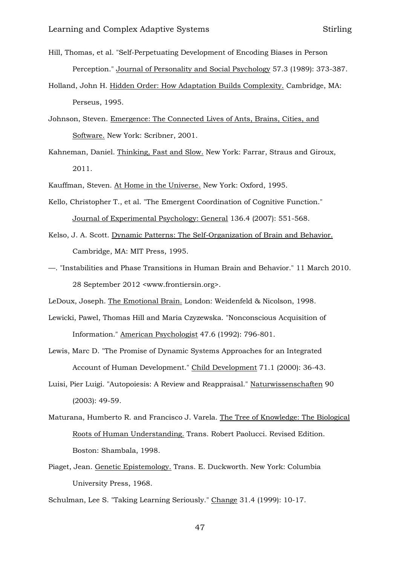- Hill, Thomas, et al. "Self-Perpetuating Development of Encoding Biases in Person Perception." Journal of Personality and Social Psychology 57.3 (1989): 373-387.
- Holland, John H. Hidden Order: How Adaptation Builds Complexity. Cambridge, MA: Perseus, 1995.
- Johnson, Steven. Emergence: The Connected Lives of Ants, Brains, Cities, and Software. New York: Scribner, 2001.
- Kahneman, Daniel. Thinking, Fast and Slow. New York: Farrar, Straus and Giroux, 2011.
- Kauffman, Steven. At Home in the Universe. New York: Oxford, 1995.
- Kello, Christopher T., et al. "The Emergent Coordination of Cognitive Function." Journal of Experimental Psychology: General 136.4 (2007): 551-568.
- Kelso, J. A. Scott. Dynamic Patterns: The Self-Organization of Brain and Behavior. Cambridge, MA: MIT Press, 1995.
- —. "Instabilities and Phase Transitions in Human Brain and Behavior." 11 March 2010. 28 September 2012 <www.frontiersin.org>.
- LeDoux, Joseph. The Emotional Brain. London: Weidenfeld & Nicolson, 1998.
- Lewicki, Pawel, Thomas Hill and Maria Czyzewska. "Nonconscious Acquisition of Information." American Psychologist 47.6 (1992): 796-801.
- Lewis, Marc D. "The Promise of Dynamic Systems Approaches for an Integrated Account of Human Development." Child Development 71.1 (2000): 36-43.
- Luisi, Pier Luigi. "Autopoiesis: A Review and Reappraisal." Naturwissenschaften 90 (2003): 49-59.
- Maturana, Humberto R. and Francisco J. Varela. The Tree of Knowledge: The Biological Roots of Human Understanding. Trans. Robert Paolucci. Revised Edition. Boston: Shambala, 1998.
- Piaget, Jean. Genetic Epistemology. Trans. E. Duckworth. New York: Columbia University Press, 1968.

Schulman, Lee S. "Taking Learning Seriously." Change 31.4 (1999): 10-17.